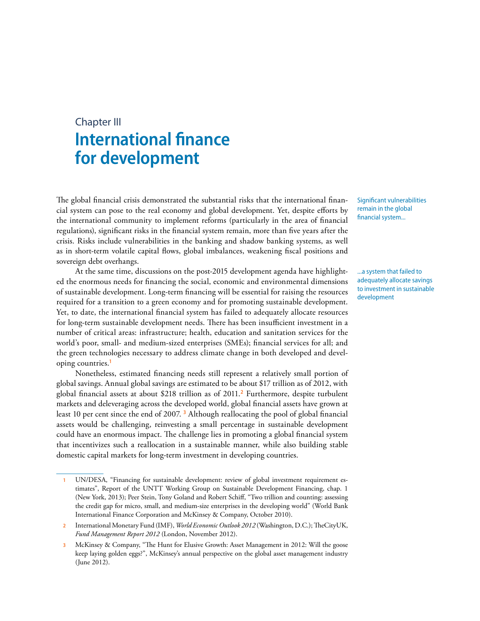# Chapter III **International finance for development**

The global financial crisis demonstrated the substantial risks that the international financial system can pose to the real economy and global development. Yet, despite efforts by the international community to implement reforms (particularly in the area of financial regulations), significant risks in the financial system remain, more than five years after the crisis. Risks include vulnerabilities in the banking and shadow banking systems, as well as in short-term volatile capital flows, global imbalances, weakening fiscal positions and sovereign debt overhangs.

At the same time, discussions on the post-2015 development agenda have highlighted the enormous needs for financing the social, economic and environmental dimensions of sustainable development. Long-term financing will be essential for raising the resources required for a transition to a green economy and for promoting sustainable development. Yet, to date, the international financial system has failed to adequately allocate resources for long-term sustainable development needs. There has been insufficient investment in a number of critical areas: infrastructure; health, education and sanitation services for the world's poor, small- and medium-sized enterprises (SMEs); financial services for all; and the green technologies necessary to address climate change in both developed and developing countries.**<sup>1</sup>**

Nonetheless, estimated financing needs still represent a relatively small portion of global savings. Annual global savings are estimated to be about \$17 trillion as of 2012, with global financial assets at about \$218 trillion as of 2011.**<sup>2</sup>** Furthermore, despite turbulent markets and deleveraging across the developed world, global financial assets have grown at least 10 per cent since the end of 2007. **<sup>3</sup>** Although reallocating the pool of global financial assets would be challenging, reinvesting a small percentage in sustainable development could have an enormous impact. The challenge lies in promoting a global financial system that incentivizes such a reallocation in a sustainable manner, while also building stable domestic capital markets for long-term investment in developing countries.

Significant vulnerabilities remain in the global financial system...

...a system that failed to adequately allocate savings to investment in sustainable development

**<sup>1</sup>** UN/DESA, "Financing for sustainable development: review of global investment requirement estimates", Report of the UNTT Working Group on Sustainable Development Financing, chap. 1 (New York, 2013); Peer Stein, Tony Goland and Robert Schiff, "Two trillion and counting: assessing the credit gap for micro, small, and medium-size enterprises in the developing world" (World Bank International Finance Corporation and McKinsey & Company, October 2010).

**<sup>2</sup>** International Monetary Fund (IMF), *World Economic Outlook 2012* (Washington, D.C.); TheCityUK, *Fund Management Report 2012* (London, November 2012).

**<sup>3</sup>** McKinsey & Company, "The Hunt for Elusive Growth: Asset Management in 2012: Will the goose keep laying golden eggs?", McKinsey's annual perspective on the global asset management industry (June 2012).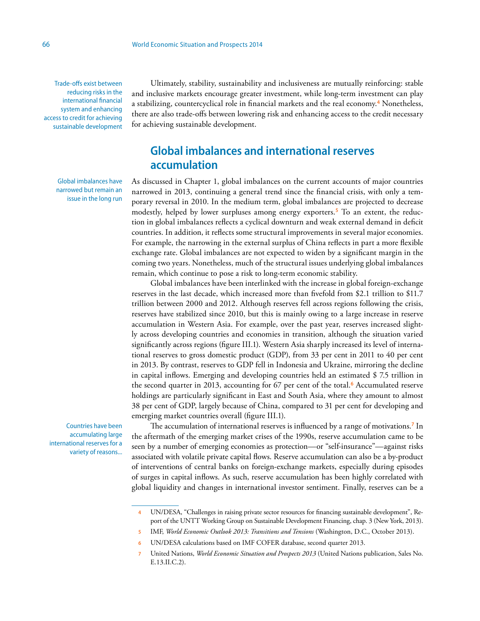Trade-offs exist between reducing risks in the international financial system and enhancing access to credit for achieving sustainable development

> Global imbalances have narrowed but remain an issue in the long run

Ultimately, stability, sustainability and inclusiveness are mutually reinforcing: stable and inclusive markets encourage greater investment, while long-term investment can play a stabilizing, countercyclical role in financial markets and the real economy.**<sup>4</sup>** Nonetheless, there are also trade-offs between lowering risk and enhancing access to the credit necessary for achieving sustainable development.

## **Global imbalances and international reserves accumulation**

As discussed in Chapter 1, global imbalances on the current accounts of major countries narrowed in 2013, continuing a general trend since the financial crisis, with only a temporary reversal in 2010. In the medium term, global imbalances are projected to decrease modestly, helped by lower surpluses among energy exporters.**5** To an extent, the reduction in global imbalances reflects a cyclical downturn and weak external demand in deficit countries. In addition, it reflects some structural improvements in several major economies. For example, the narrowing in the external surplus of China reflects in part a more flexible exchange rate. Global imbalances are not expected to widen by a significant margin in the coming two years. Nonetheless, much of the structural issues underlying global imbalances remain, which continue to pose a risk to long-term economic stability.

Global imbalances have been interlinked with the increase in global foreign-exchange reserves in the last decade, which increased more than fivefold from \$2.1 trillion to \$11.7 trillion between 2000 and 2012. Although reserves fell across regions following the crisis, reserves have stabilized since 2010, but this is mainly owing to a large increase in reserve accumulation in Western Asia. For example, over the past year, reserves increased slightly across developing countries and economies in transition, although the situation varied significantly across regions (figure III.1). Western Asia sharply increased its level of international reserves to gross domestic product (GDP), from 33 per cent in 2011 to 40 per cent in 2013. By contrast, reserves to GDP fell in Indonesia and Ukraine, mirroring the decline in capital inflows. Emerging and developing countries held an estimated \$ 7.5 trillion in the second quarter in 2013, accounting for 67 per cent of the total.**<sup>6</sup>** Accumulated reserve holdings are particularly significant in East and South Asia, where they amount to almost 38 per cent of GDP, largely because of China, compared to 31 per cent for developing and emerging market countries overall (figure III.1).

Countries have been accumulating large international reserves for a variety of reasons...

The accumulation of international reserves is influenced by a range of motivations.**<sup>7</sup>** In the aftermath of the emerging market crises of the 1990s, reserve accumulation came to be seen by a number of emerging economies as protection—or "self-insurance"—against risks associated with volatile private capital flows. Reserve accumulation can also be a by-product of interventions of central banks on foreign-exchange markets, especially during episodes of surges in capital inflows. As such, reserve accumulation has been highly correlated with global liquidity and changes in international investor sentiment. Finally, reserves can be a

- **5** IMF, *World Economic Outlook 2013: Transitions and Tensions* (Washington, D.C., October 2013).
- **6** UN/DESA calculations based on IMF COFER database, second quarter 2013.
- **7** United Nations, *World Economic Situation and Prospects 2013* (United Nations publication, Sales No. E.13.II.C.2).

**<sup>4</sup>** UN/DESA, "Challenges in raising private sector resources for financing sustainable development", Report of the UNTT Working Group on Sustainable Development Financing, chap. 3 (New York, 2013).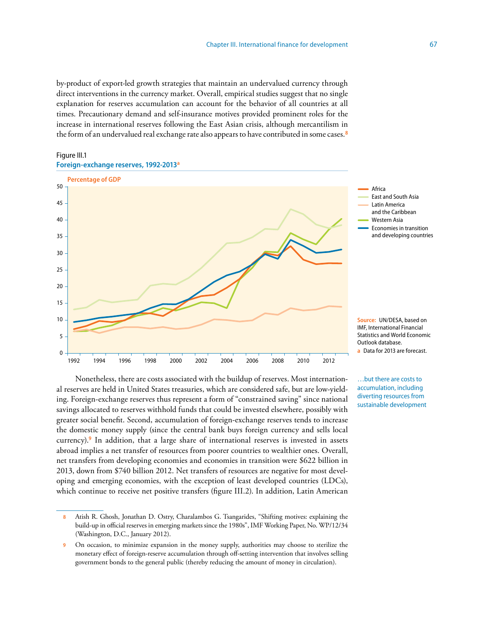by-product of export-led growth strategies that maintain an undervalued currency through direct interventions in the currency market. Overall, empirical studies suggest that no single explanation for reserves accumulation can account for the behavior of all countries at all times. Precautionary demand and self-insurance motives provided prominent roles for the increase in international reserves following the East Asian crisis, although mercantilism in the form of an undervalued real exchange rate also appears to have contributed in some cases.**<sup>8</sup>**

#### Figure III.1 **Foreign-exchange reserves, 1992-2013a**



Nonetheless, there are costs associated with the buildup of reserves. Most international reserves are held in United States treasuries, which are considered safe, but are low-yielding. Foreign-exchange reserves thus represent a form of "constrained saving" since national savings allocated to reserves withhold funds that could be invested elsewhere, possibly with greater social benefit. Second, accumulation of foreign-exchange reserves tends to increase the domestic money supply (since the central bank buys foreign currency and sells local currency).**<sup>9</sup>** In addition, that a large share of international reserves is invested in assets abroad implies a net transfer of resources from poorer countries to wealthier ones. Overall, net transfers from developing economies and economies in transition were \$622 billion in 2013, down from \$740 billion 2012. Net transfers of resources are negative for most developing and emerging economies, with the exception of least developed countries (LDCs), which continue to receive net positive transfers (figure III.2). In addition, Latin American

…but there are costs to accumulation, including diverting resources from sustainable development

**<sup>8</sup>** Atish R. Ghosh, Jonathan D. Ostry, Charalambos G. Tsangarides, "Shifting motives: explaining the build-up in official reserves in emerging markets since the 1980s", IMF Working Paper, No. WP/12/34 (Washington, D.C., January 2012).

**<sup>9</sup>** On occasion, to minimize expansion in the money supply, authorities may choose to sterilize the monetary effect of foreign-reserve accumulation through off-setting intervention that involves selling government bonds to the general public (thereby reducing the amount of money in circulation).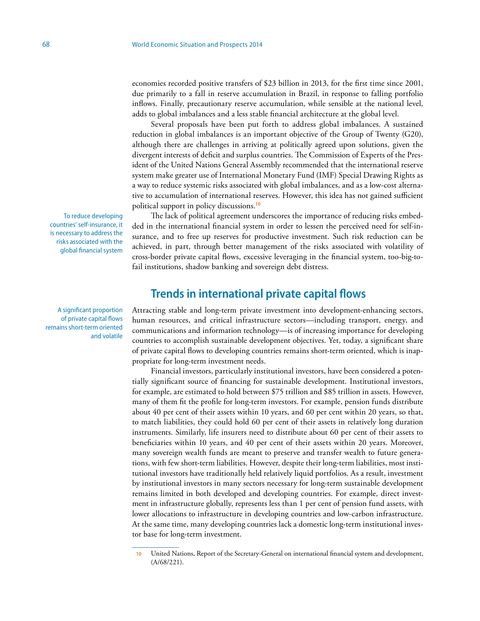economies recorded positive transfers of \$23 billion in 2013, for the first time since 2001, due primarily to a fall in reserve accumulation in Brazil, in response to falling portfolio inflows. Finally, precautionary reserve accumulation, while sensible at the national level, adds to global imbalances and a less stable financial architecture at the global level.

Several proposals have been put forth to address global imbalances. A sustained reduction in global imbalances is an important objective of the Group of Twenty (G20), although there are challenges in arriving at politically agreed upon solutions, given the divergent interests of deficit and surplus countries. The Commission of Experts of the President of the United Nations General Assembly recommended that the international reserve system make greater use of International Monetary Fund (IMF) Special Drawing Rights as a way to reduce systemic risks associated with global imbalances, and as a low-cost alternative to accumulation of international reserves. However, this idea has not gained sufficient political support in policy discussions.**<sup>10</sup>**

The lack of political agreement underscores the importance of reducing risks embedded in the international financial system in order to lessen the perceived need for self-insurance, and to free up reserves for productive investment. Such risk reduction can be achieved, in part, through better management of the risks associated with volatility of cross-border private capital flows, excessive leveraging in the financial system, too-big-tofail institutions, shadow banking and sovereign debt distress.

## **Trends in international private capital flows**

Attracting stable and long-term private investment into development-enhancing sectors, human resources, and critical infrastructure sectors—including transport, energy, and communications and information technology—is of increasing importance for developing countries to accomplish sustainable development objectives. Yet, today, a significant share of private capital flows to developing countries remains short-term oriented, which is inappropriate for long-term investment needs.

Financial investors, particularly institutional investors, have been considered a potentially significant source of financing for sustainable development. Institutional investors, for example, are estimated to hold between \$75 trillion and \$85 trillion in assets. However, many of them fit the profile for long-term investors. For example, pension funds distribute about 40 per cent of their assets within 10 years, and 60 per cent within 20 years, so that, to match liabilities, they could hold 60 per cent of their assets in relatively long duration instruments. Similarly, life insurers need to distribute about 60 per cent of their assets to beneficiaries within 10 years, and 40 per cent of their assets within 20 years. Moreover, many sovereign wealth funds are meant to preserve and transfer wealth to future generations, with few short-term liabilities. However, despite their long-term liabilities, most institutional investors have traditionally held relatively liquid portfolios. As a result, investment by institutional investors in many sectors necessary for long-term sustainable development remains limited in both developed and developing countries. For example, direct investment in infrastructure globally, represents less than 1 per cent of pension fund assets, with lower allocations to infrastructure in developing countries and low-carbon infrastructure. At the same time, many developing countries lack a domestic long-term institutional investor base for long-term investment.

To reduce developing countries' self-insurance, it is necessary to address the risks associated with the global financial system

A significant proportion of private capital flows remains short-term oriented and volatile

**<sup>10</sup>** United Nations, Report of the Secretary-General on international financial system and development, (A/68/221).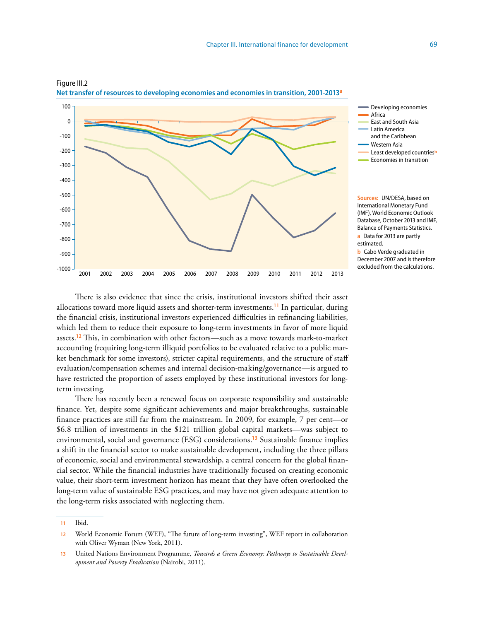





and the Caribbean

Western Asia

Least developed countries**b**

Economies in transition

**Sources:** UN/DESA, based on International Monetary Fund (IMF), World Economic Outlook Database, October 2013 and IMF, Balance of Payments Statistics. **a** Data for 2013 are partly estimated.

**b** Cabo Verde graduated in December 2007 and is therefore excluded from the calculations.

There is also evidence that since the crisis, institutional investors shifted their asset allocations toward more liquid assets and shorter-term investments.**<sup>11</sup>** In particular, during the financial crisis, institutional investors experienced difficulties in refinancing liabilities, which led them to reduce their exposure to long-term investments in favor of more liquid assets.**<sup>12</sup>** This, in combination with other factors—such as a move towards mark-to-market accounting (requiring long-term illiquid portfolios to be evaluated relative to a public market benchmark for some investors), stricter capital requirements, and the structure of staff evaluation/compensation schemes and internal decision-making/governance—is argued to have restricted the proportion of assets employed by these institutional investors for longterm investing.

There has recently been a renewed focus on corporate responsibility and sustainable finance. Yet, despite some significant achievements and major breakthroughs, sustainable finance practices are still far from the mainstream. In 2009, for example, 7 per cent—or \$6.8 trillion of investments in the \$121 trillion global capital markets—was subject to environmental, social and governance (ESG) considerations.**<sup>13</sup>** Sustainable finance implies a shift in the financial sector to make sustainable development, including the three pillars of economic, social and environmental stewardship, a central concern for the global financial sector. While the financial industries have traditionally focused on creating economic value, their short-term investment horizon has meant that they have often overlooked the long-term value of sustainable ESG practices, and may have not given adequate attention to the long-term risks associated with neglecting them.

**<sup>11</sup>** Ibid.

**<sup>12</sup>** World Economic Forum (WEF), "The future of long-term investing", WEF report in collaboration with Oliver Wyman (New York, 2011).

**<sup>13</sup>** United Nations Environment Programme, *Towards a Green Economy: Pathways to Sustainable Development and Poverty Eradication* (Nairobi, 2011).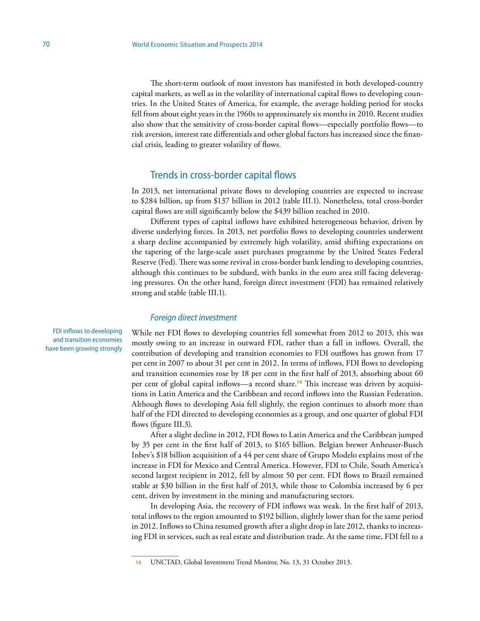The short-term outlook of most investors has manifested in both developed-country capital markets, as well as in the volatility of international capital flows to developing countries. In the United States of America, for example, the average holding period for stocks fell from about eight years in the 1960s to approximately six months in 2010. Recent studies also show that the sensitivity of cross-border capital flows—especially portfolio flows—to risk aversion, interest rate differentials and other global factors has increased since the financial crisis, leading to greater volatility of flows.

#### Trends in cross-border capital flows

In 2013, net international private flows to developing countries are expected to increase to \$284 billion, up from \$137 billion in 2012 (table III.1). Nonetheless, total cross-border capital flows are still significantly below the \$439 billion reached in 2010.

Different types of capital inflows have exhibited heterogeneous behavior, driven by diverse underlying forces. In 2013, net portfolio flows to developing countries underwent a sharp decline accompanied by extremely high volatility, amid shifting expectations on the tapering of the large-scale asset purchases programme by the United States Federal Reserve (Fed). There was some revival in cross-border bank lending to developing countries, although this continues to be subdued, with banks in the euro area still facing deleveraging pressures. On the other hand, foreign direct investment (FDI) has remained relatively strong and stable (table III.1).

#### *Foreign direct investment*

While net FDI flows to developing countries fell somewhat from 2012 to 2013, this was mostly owing to an increase in outward FDI, rather than a fall in inflows. Overall, the contribution of developing and transition economies to FDI outflows has grown from 17 per cent in 2007 to about 31 per cent in 2012. In terms of inflows, FDI flows to developing and transition economies rose by 18 per cent in the first half of 2013, absorbing about 60 per cent of global capital inflows—a record share.**14** This increase was driven by acquisitions in Latin America and the Caribbean and record inflows into the Russian Federation. Although flows to developing Asia fell slightly, the region continues to absorb more than half of the FDI directed to developing economies as a group, and one quarter of global FDI flows (figure III.3).

After a slight decline in 2012, FDI flows to Latin America and the Caribbean jumped by 35 per cent in the first half of 2013, to \$165 billion. Belgian brewer Anheuser-Busch Inbev's \$18 billion acquisition of a 44 per cent share of Grupo Modelo explains most of the increase in FDI for Mexico and Central America. However, FDI to Chile, South America's second largest recipient in 2012, fell by almost 50 per cent. FDI flows to Brazil remained stable at \$30 billion in the first half of 2013, while those to Colombia increased by 6 per cent, driven by investment in the mining and manufacturing sectors.

In developing Asia, the recovery of FDI inflows was weak. In the first half of 2013, total inflows to the region amounted to \$192 billion, slightly lower than for the same period in 2012. Inflows to China resumed growth after a slight drop in late 2012, thanks to increasing FDI in services, such as real estate and distribution trade. At the same time, FDI fell to a

FDI inflows to developing and transition economies have been growing strongly

**<sup>14</sup>** UNCTAD, Global Investment Trend Monitor, No. 13, 31 October 2013.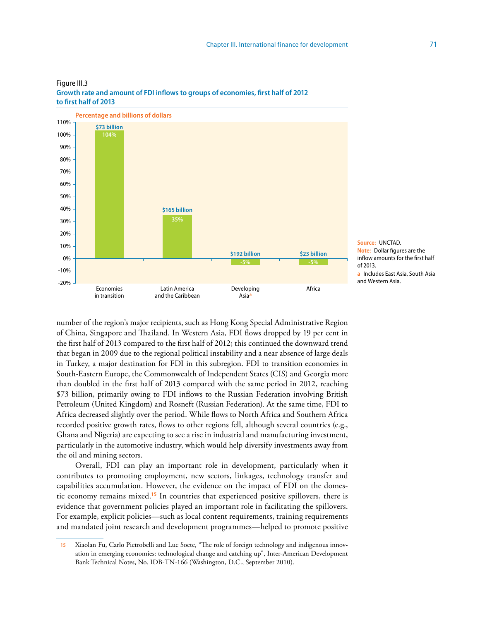

#### Figure III.3 **Growth rate and amount of FDI inflows to groups of economies, first half of 2012 to first half of 2013**

**Source:** UNCTAD. **Note:** Dollar figures are the inflow amounts for the first half of 2013. **a** Includes East Asia, South Asia and Western Asia.

number of the region's major recipients, such as Hong Kong Special Administrative Region of China, Singapore and Thailand. In Western Asia, FDI flows dropped by 19 per cent in the first half of 2013 compared to the first half of 2012; this continued the downward trend that began in 2009 due to the regional political instability and a near absence of large deals in Turkey, a major destination for FDI in this subregion. FDI to transition economies in South-Eastern Europe, the Commonwealth of Independent States (CIS) and Georgia more than doubled in the first half of 2013 compared with the same period in 2012, reaching \$73 billion, primarily owing to FDI inflows to the Russian Federation involving British Petroleum (United Kingdom) and Rosneft (Russian Federation). At the same time, FDI to Africa decreased slightly over the period. While flows to North Africa and Southern Africa recorded positive growth rates, flows to other regions fell, although several countries (e.g., Ghana and Nigeria) are expecting to see a rise in industrial and manufacturing investment, particularly in the automotive industry, which would help diversify investments away from the oil and mining sectors.

Overall, FDI can play an important role in development, particularly when it contributes to promoting employment, new sectors, linkages, technology transfer and capabilities accumulation. However, the evidence on the impact of FDI on the domestic economy remains mixed.**<sup>15</sup>** In countries that experienced positive spillovers, there is evidence that government policies played an important role in facilitating the spillovers. For example, explicit policies—such as local content requirements, training requirements and mandated joint research and development programmes—helped to promote positive

**<sup>15</sup>** Xiaolan Fu, Carlo Pietrobelli and Luc Soete, "The role of foreign technology and indigenous innovation in emerging economies: technological change and catching up", Inter-American Development Bank Technical Notes, No. IDB-TN-166 (Washington, D.C., September 2010).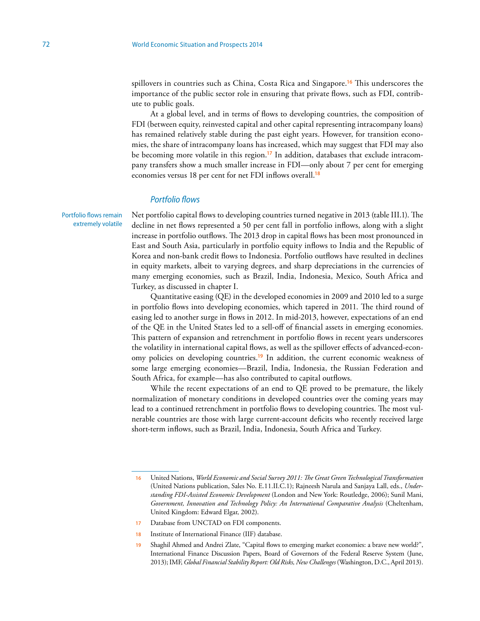spillovers in countries such as China, Costa Rica and Singapore.**<sup>16</sup>** This underscores the importance of the public sector role in ensuring that private flows, such as FDI, contribute to public goals.

At a global level, and in terms of flows to developing countries, the composition of FDI (between equity, reinvested capital and other capital representing intracompany loans) has remained relatively stable during the past eight years. However, for transition economies, the share of intracompany loans has increased, which may suggest that FDI may also be becoming more volatile in this region.**17** In addition, databases that exclude intracompany transfers show a much smaller increase in FDI—only about 7 per cent for emerging economies versus 18 per cent for net FDI inflows overall.**<sup>18</sup>**

#### *Portfolio flows*

Portfolio flows remain extremely volatile Net portfolio capital flows to developing countries turned negative in 2013 (table III.1). The decline in net flows represented a 50 per cent fall in portfolio inflows, along with a slight increase in portfolio outflows. The 2013 drop in capital flows has been most pronounced in East and South Asia, particularly in portfolio equity inflows to India and the Republic of Korea and non-bank credit flows to Indonesia. Portfolio outflows have resulted in declines in equity markets, albeit to varying degrees, and sharp depreciations in the currencies of many emerging economies, such as Brazil, India, Indonesia, Mexico, South Africa and Turkey, as discussed in chapter I.

Quantitative easing (QE) in the developed economies in 2009 and 2010 led to a surge in portfolio flows into developing economies, which tapered in 2011. The third round of easing led to another surge in flows in 2012. In mid-2013, however, expectations of an end of the QE in the United States led to a sell-off of financial assets in emerging economies. This pattern of expansion and retrenchment in portfolio flows in recent years underscores the volatility in international capital flows, as well as the spillover effects of advanced-economy policies on developing countries.**<sup>19</sup>** In addition, the current economic weakness of some large emerging economies—Brazil, India, Indonesia, the Russian Federation and South Africa, for example—has also contributed to capital outflows.

While the recent expectations of an end to QE proved to be premature, the likely normalization of monetary conditions in developed countries over the coming years may lead to a continued retrenchment in portfolio flows to developing countries. The most vulnerable countries are those with large current-account deficits who recently received large short-term inflows, such as Brazil, India, Indonesia, South Africa and Turkey.

- **17** Database from UNCTAD on FDI components.
- **18** Institute of International Finance (IIF) database.
- **19** Shaghil Ahmed and Andrei Zlate, "Capital flows to emerging market economies: a brave new world?", International Finance Discussion Papers, Board of Governors of the Federal Reserve System (June, 2013); IMF, *Global Financial Stability Report: Old Risks, New Challenges* (Washington, D.C., April 2013).

**<sup>16</sup>** United Nations, *World Economic and Social Survey 2011: The Great Green Technological Transformation* (United Nations publication, Sales No. E.11.II.C.1); Rajneesh Narula and Sanjaya Lall, eds., *Understanding FDI-Assisted Economic Development* (London and New York: Routledge, 2006); Sunil Mani, *Government, Innovation and Technology Policy: An International Comparative Analysis* (Cheltenham, United Kingdom: Edward Elgar, 2002).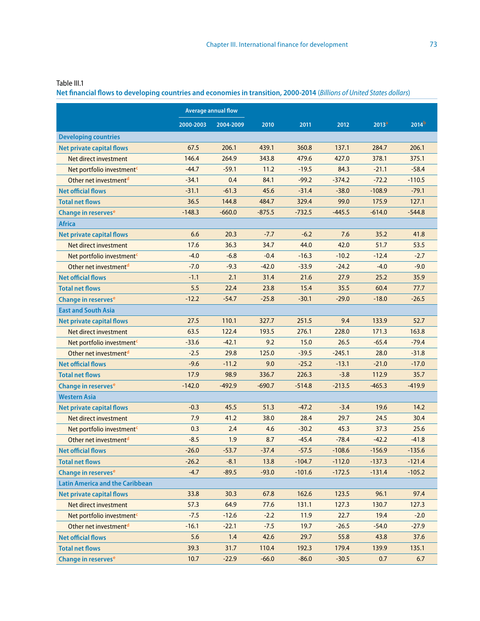## **Net financial flows to developing countries and economies in transition, 2000-2014** (*Billions of United States dollars*)

|                                        |           | <b>Average annual flow</b> |          |          |          |                   |                   |
|----------------------------------------|-----------|----------------------------|----------|----------|----------|-------------------|-------------------|
|                                        | 2000-2003 | 2004-2009                  | 2010     | 2011     | 2012     | 2013 <sup>a</sup> | 2014 <sup>b</sup> |
| <b>Developing countries</b>            |           |                            |          |          |          |                   |                   |
| <b>Net private capital flows</b>       | 67.5      | 206.1                      | 439.1    | 360.8    | 137.1    | 284.7             | 206.1             |
| Net direct investment                  | 146.4     | 264.9                      | 343.8    | 479.6    | 427.0    | 378.1             | 375.1             |
| Net portfolio investment <sup>c</sup>  | $-44.7$   | $-59.1$                    | 11.2     | $-19.5$  | 84.3     | $-21.1$           | $-58.4$           |
| Other net investment <sup>d</sup>      | $-34.1$   | 0.4                        | 84.1     | $-99.2$  | $-374.2$ | $-72.2$           | $-110.5$          |
| <b>Net official flows</b>              | $-31.1$   | $-61.3$                    | 45.6     | $-31.4$  | $-38.0$  | $-108.9$          | $-79.1$           |
| <b>Total net flows</b>                 | 36.5      | 144.8                      | 484.7    | 329.4    | 99.0     | 175.9             | 127.1             |
| Change in reserves <sup>e</sup>        | $-148.3$  | $-660.0$                   | $-875.5$ | $-732.5$ | $-445.5$ | $-614.0$          | $-544.8$          |
| <b>Africa</b>                          |           |                            |          |          |          |                   |                   |
| <b>Net private capital flows</b>       | 6.6       | 20.3                       | $-7.7$   | $-6.2$   | 7.6      | 35.2              | 41.8              |
| Net direct investment                  | 17.6      | 36.3                       | 34.7     | 44.0     | 42.0     | 51.7              | 53.5              |
| Net portfolio investment <sup>c</sup>  | $-4.0$    | $-6.8$                     | $-0.4$   | $-16.3$  | $-10.2$  | $-12.4$           | $-2.7$            |
| Other net investment <sup>d</sup>      | $-7.0$    | $-9.3$                     | $-42.0$  | $-33.9$  | $-24.2$  | $-4.0$            | $-9.0$            |
| <b>Net official flows</b>              | $-1.1$    | 2.1                        | 31.4     | 21.6     | 27.9     | 25.2              | 35.9              |
| <b>Total net flows</b>                 | 5.5       | 22.4                       | 23.8     | 15.4     | 35.5     | 60.4              | 77.7              |
| Change in reserves <sup>e</sup>        | $-12.2$   | $-54.7$                    | $-25.8$  | $-30.1$  | $-29.0$  | $-18.0$           | $-26.5$           |
| <b>East and South Asia</b>             |           |                            |          |          |          |                   |                   |
| <b>Net private capital flows</b>       | 27.5      | 110.1                      | 327.7    | 251.5    | 9.4      | 133.9             | 52.7              |
| Net direct investment                  | 63.5      | 122.4                      | 193.5    | 276.1    | 228.0    | 171.3             | 163.8             |
| Net portfolio investment <sup>c</sup>  | $-33.6$   | $-42.1$                    | 9.2      | 15.0     | 26.5     | $-65.4$           | $-79.4$           |
| Other net investment <sup>d</sup>      | $-2.5$    | 29.8                       | 125.0    | $-39.5$  | $-245.1$ | 28.0              | $-31.8$           |
| <b>Net official flows</b>              | $-9.6$    | $-11.2$                    | 9.0      | $-25.2$  | $-13.1$  | $-21.0$           | $-17.0$           |
| <b>Total net flows</b>                 | 17.9      | 98.9                       | 336.7    | 226.3    | $-3.8$   | 112.9             | 35.7              |
| Change in reserves <sup>e</sup>        | $-142.0$  | $-492.9$                   | $-690.7$ | $-514.8$ | $-213.5$ | $-465.3$          | $-419.9$          |
| <b>Western Asia</b>                    |           |                            |          |          |          |                   |                   |
| <b>Net private capital flows</b>       | $-0.3$    | 45.5                       | 51.3     | $-47.2$  | $-3.4$   | 19.6              | 14.2              |
| Net direct investment                  | 7.9       | 41.2                       | 38.0     | 28.4     | 29.7     | 24.5              | 30.4              |
| Net portfolio investment <sup>c</sup>  | 0.3       | 2.4                        | 4.6      | $-30.2$  | 45.3     | 37.3              | 25.6              |
| Other net investment <sup>d</sup>      | $-8.5$    | 1.9                        | 8.7      | $-45.4$  | $-78.4$  | $-42.2$           | $-41.8$           |
| <b>Net official flows</b>              | $-26.0$   | $-53.7$                    | $-37.4$  | $-57.5$  | $-108.6$ | $-156.9$          | $-135.6$          |
| <b>Total net flows</b>                 | $-26.2$   | $-8.1$                     | 13.8     | $-104.7$ | $-112.0$ | $-137.3$          | $-121.4$          |
| Change in reserves <sup>e</sup>        | $-4.7$    | $-89.5$                    | $-93.0$  | $-101.6$ | $-172.5$ | $-131.4$          | $-105.2$          |
| <b>Latin America and the Caribbean</b> |           |                            |          |          |          |                   |                   |
| Net private capital flows              | 33.8      | 30.3                       | 67.8     | 162.6    | 123.5    | 96.1              | 97.4              |
| Net direct investment                  | 57.3      | 64.9                       | 77.6     | 131.1    | 127.3    | 130.7             | 127.3             |
| Net portfolio investment <sup>c</sup>  | $-7.5$    | $-12.6$                    | $-2.2$   | 11.9     | 22.7     | 19.4              | $-2.0$            |
| Other net investment <sup>d</sup>      | $-16.1$   | $-22.1$                    | $-7.5$   | 19.7     | $-26.5$  | $-54.0$           | $-27.9$           |
| <b>Net official flows</b>              | 5.6       | $1.4$                      | 42.6     | 29.7     | 55.8     | 43.8              | 37.6              |
| <b>Total net flows</b>                 | 39.3      | 31.7                       | 110.4    | 192.3    | 179.4    | 139.9             | 135.1             |
| Change in reserves <sup>e</sup>        | 10.7      | $-22.9$                    | $-66.0$  | $-86.0$  | $-30.5$  | 0.7               | 6.7               |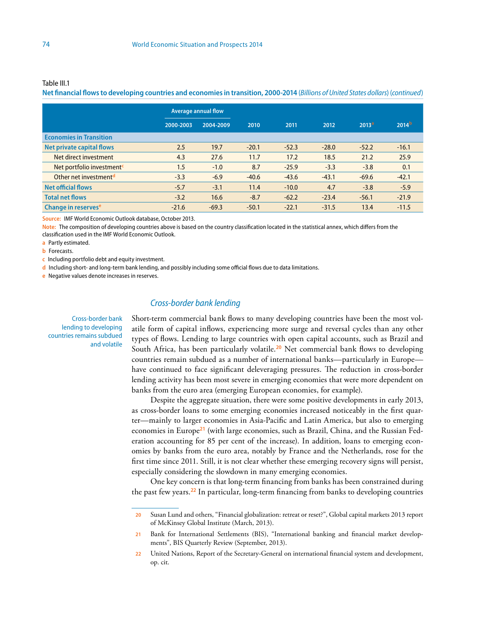Table III.1

#### **Net financial flows to developing countries and economies in transition, 2000-2014** (*Billions of United States dollars*) (*continued*)

|                                       | <b>Average annual flow</b> |           |         |         |         |                   |                   |
|---------------------------------------|----------------------------|-----------|---------|---------|---------|-------------------|-------------------|
|                                       | 2000-2003                  | 2004-2009 | 2010    | 2011    | 2012    | 2013 <sup>a</sup> | 2014 <sup>b</sup> |
| <b>Economies in Transition</b>        |                            |           |         |         |         |                   |                   |
| Net private capital flows             | 2.5                        | 19.7      | $-20.1$ | $-52.3$ | $-28.0$ | $-52.2$           | $-16.1$           |
| Net direct investment                 | 4.3                        | 27.6      | 11.7    | 17.2    | 18.5    | 21.2              | 25.9              |
| Net portfolio investment <sup>c</sup> | 1.5                        | $-1.0$    | 8.7     | $-25.9$ | $-3.3$  | $-3.8$            | 0.1               |
| Other net investment <sup>d</sup>     | $-3.3$                     | $-6.9$    | $-40.6$ | $-43.6$ | $-43.1$ | $-69.6$           | $-42.1$           |
| <b>Net official flows</b>             | $-5.7$                     | $-3.1$    | 11.4    | $-10.0$ | 4.7     | $-3.8$            | $-5.9$            |
| <b>Total net flows</b>                | $-3.2$                     | 16.6      | $-8.7$  | $-62.2$ | $-23.4$ | $-56.1$           | $-21.9$           |
| Change in reservese                   | $-21.6$                    | $-69.3$   | $-50.1$ | $-22.1$ | $-31.5$ | 13.4              | $-11.5$           |

**Source:** IMF World Economic Outlook database, October 2013.

**Note:** The composition of developing countries above is based on the country classification located in the statistical annex, which differs from the classification used in the IMF World Economic Outlook.

**a** Partly estimated.

**b** Forecasts.

**c** Including portfolio debt and equity investment.

**d** Including short- and long-term bank lending, and possibly including some official flows due to data limitations.

**e** Negative values denote increases in reserves.

## *Cross-border bank lending*

Cross-border bank lending to developing countries remains subdued and volatile

Short-term commercial bank flows to many developing countries have been the most volatile form of capital inflows, experiencing more surge and reversal cycles than any other types of flows. Lending to large countries with open capital accounts, such as Brazil and South Africa, has been particularly volatile.**<sup>20</sup>** Net commercial bank flows to developing countries remain subdued as a number of international banks—particularly in Europe have continued to face significant deleveraging pressures. The reduction in cross-border lending activity has been most severe in emerging economies that were more dependent on banks from the euro area (emerging European economies, for example).

Despite the aggregate situation, there were some positive developments in early 2013, as cross-border loans to some emerging economies increased noticeably in the first quarter—mainly to larger economies in Asia-Pacific and Latin America, but also to emerging economies in Europe**21** (with large economies, such as Brazil, China, and the Russian Federation accounting for 85 per cent of the increase). In addition, loans to emerging economies by banks from the euro area, notably by France and the Netherlands, rose for the first time since 2011. Still, it is not clear whether these emerging recovery signs will persist, especially considering the slowdown in many emerging economies.

One key concern is that long-term financing from banks has been constrained during the past few years.**<sup>22</sup>** In particular, long-term financing from banks to developing countries

**<sup>20</sup>** Susan Lund and others, "Financial globalization: retreat or reset?", Global capital markets 2013 report of McKinsey Global Institute (March, 2013).

**<sup>21</sup>** Bank for International Settlements (BIS), "International banking and financial market developments", BIS Quarterly Review (September, 2013).

**<sup>22</sup>** United Nations, Report of the Secretary-General on international financial system and development, op. cit.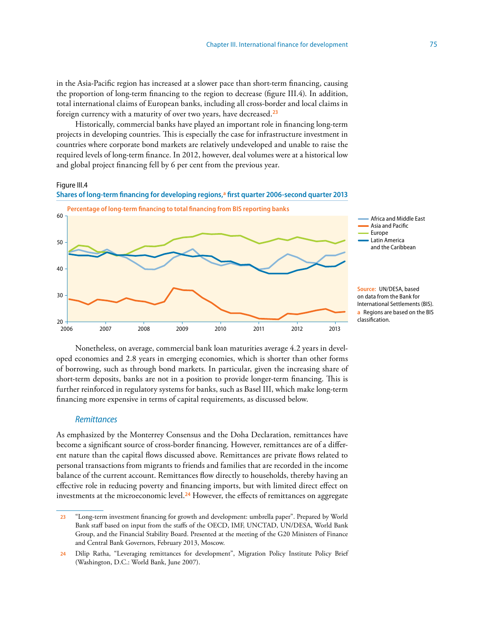in the Asia-Pacific region has increased at a slower pace than short-term financing, causing the proportion of long-term financing to the region to decrease (figure III.4). In addition, total international claims of European banks, including all cross-border and local claims in foreign currency with a maturity of over two years, have decreased.**<sup>23</sup>**

Historically, commercial banks have played an important role in financing long-term projects in developing countries. This is especially the case for infrastructure investment in countries where corporate bond markets are relatively undeveloped and unable to raise the required levels of long-term finance. In 2012, however, deal volumes were at a historical low and global project financing fell by 6 per cent from the previous year.









**Source:** UN/DESA, based on data from the Bank for International Settlements (BIS). **a** Regions are based on the BIS classification.

Nonetheless, on average, commercial bank loan maturities average 4.2 years in developed economies and 2.8 years in emerging economies, which is shorter than other forms of borrowing, such as through bond markets. In particular, given the increasing share of short-term deposits, banks are not in a position to provide longer-term financing. This is further reinforced in regulatory systems for banks, such as Basel III, which make long-term financing more expensive in terms of capital requirements, as discussed below.

#### *Remittances*

As emphasized by the Monterrey Consensus and the Doha Declaration, remittances have become a significant source of cross-border financing. However, remittances are of a different nature than the capital flows discussed above. Remittances are private flows related to personal transactions from migrants to friends and families that are recorded in the income balance of the current account. Remittances flow directly to households, thereby having an effective role in reducing poverty and financing imports, but with limited direct effect on investments at the microeconomic level.**<sup>24</sup>** However, the effects of remittances on aggregate

**<sup>23</sup>** "Long-term investment financing for growth and development: umbrella paper". Prepared by World Bank staff based on input from the staffs of the OECD, IMF, UNCTAD, UN/DESA, World Bank Group, and the Financial Stability Board. Presented at the meeting of the G20 Ministers of Finance and Central Bank Governors, February 2013, Moscow.

**<sup>24</sup>** Dilip Ratha, "Leveraging remittances for development", Migration Policy Institute Policy Brief (Washington, D.C.: World Bank, June 2007).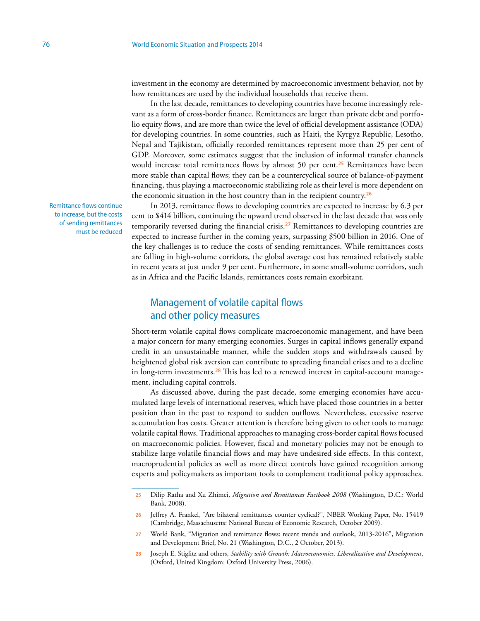investment in the economy are determined by macroeconomic investment behavior, not by how remittances are used by the individual households that receive them.

In the last decade, remittances to developing countries have become increasingly relevant as a form of cross-border finance. Remittances are larger than private debt and portfolio equity flows, and are more than twice the level of official development assistance (ODA) for developing countries. In some countries, such as Haiti, the Kyrgyz Republic, Lesotho, Nepal and Tajikistan, officially recorded remittances represent more than 25 per cent of GDP. Moreover, some estimates suggest that the inclusion of informal transfer channels would increase total remittances flows by almost 50 per cent.**<sup>25</sup>** Remittances have been more stable than capital flows; they can be a countercyclical source of balance-of-payment financing, thus playing a macroeconomic stabilizing role as their level is more dependent on the economic situation in the host country than in the recipient country.**<sup>26</sup>**

In 2013, remittance flows to developing countries are expected to increase by 6.3 per cent to \$414 billion, continuing the upward trend observed in the last decade that was only temporarily reversed during the financial crisis.**<sup>27</sup>** Remittances to developing countries are expected to increase further in the coming years, surpassing \$500 billion in 2016. One of the key challenges is to reduce the costs of sending remittances. While remittances costs are falling in high-volume corridors, the global average cost has remained relatively stable in recent years at just under 9 per cent. Furthermore, in some small-volume corridors, such as in Africa and the Pacific Islands, remittances costs remain exorbitant.

### Management of volatile capital flows and other policy measures

Short-term volatile capital flows complicate macroeconomic management, and have been a major concern for many emerging economies. Surges in capital inflows generally expand credit in an unsustainable manner, while the sudden stops and withdrawals caused by heightened global risk aversion can contribute to spreading financial crises and to a decline in long-term investments.**28** This has led to a renewed interest in capital-account management, including capital controls.

As discussed above, during the past decade, some emerging economies have accumulated large levels of international reserves, which have placed those countries in a better position than in the past to respond to sudden outflows. Nevertheless, excessive reserve accumulation has costs. Greater attention is therefore being given to other tools to manage volatile capital flows. Traditional approaches to managing cross-border capital flows focused on macroeconomic policies. However, fiscal and monetary policies may not be enough to stabilize large volatile financial flows and may have undesired side effects. In this context, macroprudential policies as well as more direct controls have gained recognition among experts and policymakers as important tools to complement traditional policy approaches.

Remittance flows continue to increase, but the costs of sending remittances must be reduced

**<sup>25</sup>** Dilip Ratha and Xu Zhimei, *Migration and Remittances Factbook 2008* (Washington, D.C.: World Bank, 2008).

**<sup>26</sup>** Jeffrey A. Frankel, "Are bilateral remittances counter cyclical?", NBER Working Paper, No. 15419 (Cambridge, Massachusetts: National Bureau of Economic Research, October 2009).

**<sup>27</sup>** World Bank, "Migration and remittance flows: recent trends and outlook, 2013-2016", Migration and Development Brief, No. 21 (Washington, D.C., 2 October, 2013).

**<sup>28</sup>** Joseph E. Stiglitz and others, *Stability with Growth: Macroeconomics, Liberalization and Development*, (Oxford, United Kingdom: Oxford University Press, 2006).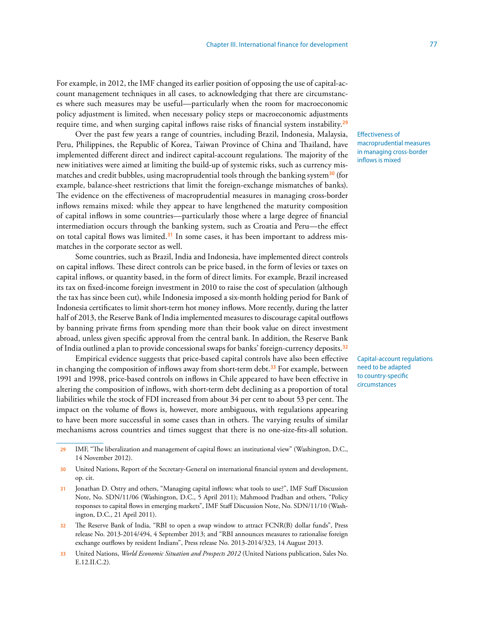For example, in 2012, the IMF changed its earlier position of opposing the use of capital-account management techniques in all cases, to acknowledging that there are circumstances where such measures may be useful—particularly when the room for macroeconomic policy adjustment is limited, when necessary policy steps or macroeconomic adjustments require time, and when surging capital inflows raise risks of financial system instability.**<sup>29</sup>**

Over the past few years a range of countries, including Brazil, Indonesia, Malaysia, Peru, Philippines, the Republic of Korea, Taiwan Province of China and Thailand, have implemented different direct and indirect capital-account regulations. The majority of the new initiatives were aimed at limiting the build-up of systemic risks, such as currency mismatches and credit bubbles, using macroprudential tools through the banking system**<sup>30</sup>** (for example, balance-sheet restrictions that limit the foreign-exchange mismatches of banks). The evidence on the effectiveness of macroprudential measures in managing cross-border inflows remains mixed: while they appear to have lengthened the maturity composition of capital inflows in some countries—particularly those where a large degree of financial intermediation occurs through the banking system, such as Croatia and Peru—the effect on total capital flows was limited.**31** In some cases, it has been important to address mismatches in the corporate sector as well.

Some countries, such as Brazil, India and Indonesia, have implemented direct controls on capital inflows. These direct controls can be price based, in the form of levies or taxes on capital inflows, or quantity based, in the form of direct limits. For example, Brazil increased its tax on fixed-income foreign investment in 2010 to raise the cost of speculation (although the tax has since been cut), while Indonesia imposed a six-month holding period for Bank of Indonesia certificates to limit short-term hot money inflows. More recently, during the latter half of 2013, the Reserve Bank of India implemented measures to discourage capital outflows by banning private firms from spending more than their book value on direct investment abroad, unless given specific approval from the central bank. In addition, the Reserve Bank of India outlined a plan to provide concessional swaps for banks' foreign-currency deposits.**<sup>32</sup>**

Empirical evidence suggests that price-based capital controls have also been effective in changing the composition of inflows away from short-term debt.**<sup>33</sup>** For example, between 1991 and 1998, price-based controls on inflows in Chile appeared to have been effective in altering the composition of inflows, with short-term debt declining as a proportion of total liabilities while the stock of FDI increased from about 34 per cent to about 53 per cent. The impact on the volume of flows is, however, more ambiguous, with regulations appearing to have been more successful in some cases than in others. The varying results of similar mechanisms across countries and times suggest that there is no one-size-fits-all solution.

Effectiveness of macroprudential measures in managing cross-border inflows is mixed

Capital-account regulations need to be adapted to country-specific circumstances

**<sup>29</sup>** IMF, "The liberalization and management of capital flows: an institutional view" (Washington, D.C., 14 November 2012).

**<sup>30</sup>** United Nations, Report of the Secretary-General on international financial system and development, op. cit.

**<sup>31</sup>** Jonathan D. Ostry and others, "Managing capital inflows: what tools to use?", IMF Staff Discussion Note, No. SDN/11/06 (Washington, D.C., 5 April 2011); Mahmood Pradhan and others, "Policy responses to capital flows in emerging markets", IMF Staff Discussion Note, No. SDN/11/10 (Washington, D.C., 21 April 2011).

**<sup>32</sup>** The Reserve Bank of India, "RBI to open a swap window to attract FCNR(B) dollar funds", Press release No. 2013-2014/494, 4 September 2013; and "RBI announces measures to rationalise foreign exchange outflows by resident Indians", Press release No. 2013-2014/323, 14 August 2013.

**<sup>33</sup>** United Nations, *World Economic Situation and Prospects 2012* (United Nations publication, Sales No. E.12.II.C.2)*.*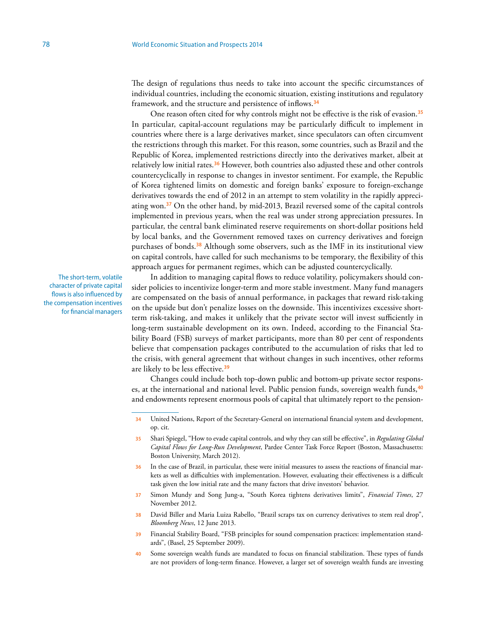The design of regulations thus needs to take into account the specific circumstances of individual countries, including the economic situation, existing institutions and regulatory framework, and the structure and persistence of inflows.**<sup>34</sup>**

One reason often cited for why controls might not be effective is the risk of evasion.**<sup>35</sup>** In particular, capital-account regulations may be particularly difficult to implement in countries where there is a large derivatives market, since speculators can often circumvent the restrictions through this market. For this reason, some countries, such as Brazil and the Republic of Korea, implemented restrictions directly into the derivatives market, albeit at relatively low initial rates.**<sup>36</sup>** However, both countries also adjusted these and other controls countercyclically in response to changes in investor sentiment. For example, the Republic of Korea tightened limits on domestic and foreign banks' exposure to foreign-exchange derivatives towards the end of 2012 in an attempt to stem volatility in the rapidly appreciating won.**<sup>37</sup>** On the other hand, by mid-2013, Brazil reversed some of the capital controls implemented in previous years, when the real was under strong appreciation pressures. In particular, the central bank eliminated reserve requirements on short-dollar positions held by local banks, and the Government removed taxes on currency derivatives and foreign purchases of bonds.**<sup>38</sup>** Although some observers, such as the IMF in its institutional view on capital controls, have called for such mechanisms to be temporary, the flexibility of this approach argues for permanent regimes, which can be adjusted countercyclically.

In addition to managing capital flows to reduce volatility, policymakers should consider policies to incentivize longer-term and more stable investment. Many fund managers are compensated on the basis of annual performance, in packages that reward risk-taking on the upside but don't penalize losses on the downside. This incentivizes excessive shortterm risk-taking, and makes it unlikely that the private sector will invest sufficiently in long-term sustainable development on its own. Indeed, according to the Financial Stability Board (FSB) surveys of market participants, more than 80 per cent of respondents believe that compensation packages contributed to the accumulation of risks that led to the crisis, with general agreement that without changes in such incentives, other reforms are likely to be less effective.**<sup>39</sup>**

Changes could include both top-down public and bottom-up private sector responses, at the international and national level. Public pension funds, sovereign wealth funds,**<sup>40</sup>** and endowments represent enormous pools of capital that ultimately report to the pension-

- **34** United Nations, Report of the Secretary-General on international financial system and development, op. cit.
- **35** Shari Spiegel, "How to evade capital controls, and why they can still be effective", in *Regulating Global Capital Flows for Long-Run Development*, Pardee Center Task Force Report (Boston, Massachusetts: Boston University, March 2012).
- **36** In the case of Brazil, in particular, these were initial measures to assess the reactions of financial markets as well as difficulties with implementation. However, evaluating their effectiveness is a difficult task given the low initial rate and the many factors that drive investors' behavior.
- **37** Simon Mundy and Song Jung-a, "South Korea tightens derivatives limits", *Financial Times*, 27 November 2012.
- **38** David Biller and Maria Luiza Rabello, "Brazil scraps tax on currency derivatives to stem real drop", *Bloomberg News*, 12 June 2013.
- **39** Financial Stability Board, "FSB principles for sound compensation practices: implementation standards", (Basel, 25 September 2009).
- **40** Some sovereign wealth funds are mandated to focus on financial stabilization. These types of funds are not providers of long-term finance. However, a larger set of sovereign wealth funds are investing

The short-term, volatile character of private capital flows is also influenced by the compensation incentives for financial managers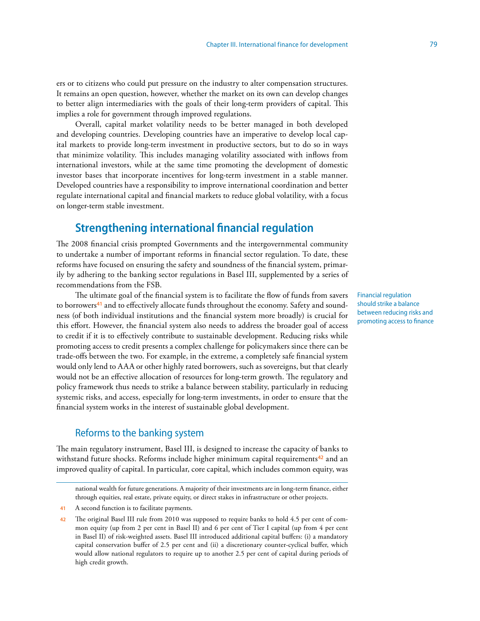ers or to citizens who could put pressure on the industry to alter compensation structures. It remains an open question, however, whether the market on its own can develop changes to better align intermediaries with the goals of their long-term providers of capital. This implies a role for government through improved regulations.

Overall, capital market volatility needs to be better managed in both developed and developing countries. Developing countries have an imperative to develop local capital markets to provide long-term investment in productive sectors, but to do so in ways that minimize volatility. This includes managing volatility associated with inflows from international investors, while at the same time promoting the development of domestic investor bases that incorporate incentives for long-term investment in a stable manner. Developed countries have a responsibility to improve international coordination and better regulate international capital and financial markets to reduce global volatility, with a focus on longer-term stable investment.

## **Strengthening international financial regulation**

The 2008 financial crisis prompted Governments and the intergovernmental community to undertake a number of important reforms in financial sector regulation. To date, these reforms have focused on ensuring the safety and soundness of the financial system, primarily by adhering to the banking sector regulations in Basel III, supplemented by a series of recommendations from the FSB.

The ultimate goal of the financial system is to facilitate the flow of funds from savers to borrowers**41** and to effectively allocate funds throughout the economy. Safety and soundness (of both individual institutions and the financial system more broadly) is crucial for this effort. However, the financial system also needs to address the broader goal of access to credit if it is to effectively contribute to sustainable development. Reducing risks while promoting access to credit presents a complex challenge for policymakers since there can be trade-offs between the two. For example, in the extreme, a completely safe financial system would only lend to AAA or other highly rated borrowers, such as sovereigns, but that clearly would not be an effective allocation of resources for long-term growth. The regulatory and policy framework thus needs to strike a balance between stability, particularly in reducing systemic risks, and access, especially for long-term investments, in order to ensure that the financial system works in the interest of sustainable global development.

#### Reforms to the banking system

The main regulatory instrument, Basel III, is designed to increase the capacity of banks to withstand future shocks. Reforms include higher minimum capital requirements**<sup>42</sup>** and an improved quality of capital. In particular, core capital, which includes common equity, was

national wealth for future generations. A majority of their investments are in long-term finance, either through equities, real estate, private equity, or direct stakes in infrastructure or other projects.

**41** A second function is to facilitate payments.

**42** The original Basel III rule from 2010 was supposed to require banks to hold 4.5 per cent of common equity (up from 2 per cent in Basel II) and 6 per cent of Tier I capital (up from 4 per cent in Basel II) of risk-weighted assets. Basel III introduced additional capital buffers: (i) a mandatory capital conservation buffer of 2.5 per cent and (ii) a discretionary counter-cyclical buffer, which would allow national regulators to require up to another 2.5 per cent of capital during periods of high credit growth.

Financial regulation should strike a balance between reducing risks and promoting access to finance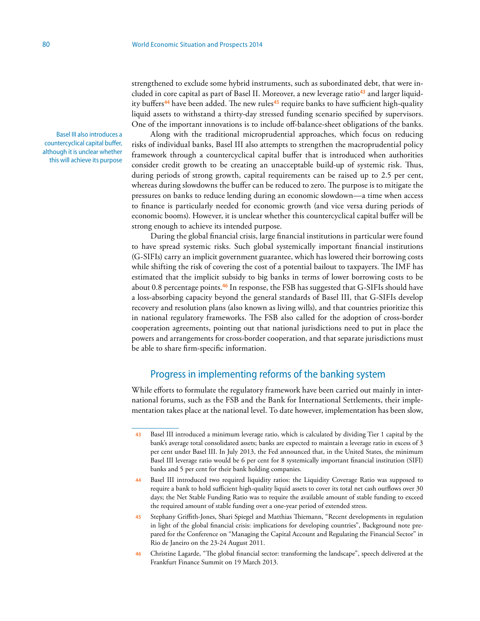strengthened to exclude some hybrid instruments, such as subordinated debt, that were included in core capital as part of Basel II. Moreover, a new leverage ratio**43** and larger liquidity buffers**<sup>44</sup>** have been added. The new rules**<sup>45</sup>** require banks to have sufficient high-quality liquid assets to withstand a thirty-day stressed funding scenario specified by supervisors. One of the important innovations is to include off-balance-sheet obligations of the banks.

Along with the traditional microprudential approaches, which focus on reducing risks of individual banks, Basel III also attempts to strengthen the macroprudential policy framework through a countercyclical capital buffer that is introduced when authorities consider credit growth to be creating an unacceptable build-up of systemic risk. Thus, during periods of strong growth, capital requirements can be raised up to 2.5 per cent, whereas during slowdowns the buffer can be reduced to zero. The purpose is to mitigate the pressures on banks to reduce lending during an economic slowdown—a time when access to finance is particularly needed for economic growth (and vice versa during periods of economic booms). However, it is unclear whether this countercyclical capital buffer will be strong enough to achieve its intended purpose.

During the global financial crisis, large financial institutions in particular were found to have spread systemic risks. Such global systemically important financial institutions (G-SIFIs) carry an implicit government guarantee, which has lowered their borrowing costs while shifting the risk of covering the cost of a potential bailout to taxpayers. The IMF has estimated that the implicit subsidy to big banks in terms of lower borrowing costs to be about 0.8 percentage points.**<sup>46</sup>** In response, the FSB has suggested that G-SIFIs should have a loss-absorbing capacity beyond the general standards of Basel III, that G-SIFIs develop recovery and resolution plans (also known as living wills), and that countries prioritize this in national regulatory frameworks. The FSB also called for the adoption of cross-border cooperation agreements, pointing out that national jurisdictions need to put in place the powers and arrangements for cross-border cooperation, and that separate jurisdictions must be able to share firm-specific information.

## Progress in implementing reforms of the banking system

While efforts to formulate the regulatory framework have been carried out mainly in international forums, such as the FSB and the Bank for International Settlements, their implementation takes place at the national level. To date however, implementation has been slow,

Basel III also introduces a countercyclical capital buffer, although it is unclear whether this will achieve its purpose

**<sup>43</sup>** Basel III introduced a minimum leverage ratio, which is calculated by dividing Tier 1 capital by the bank's average total consolidated assets; banks are expected to maintain a leverage ratio in excess of 3 per cent under Basel III. In July 2013, the Fed announced that, in the United States, the minimum Basel III leverage ratio would be 6 per cent for 8 [systemically important financial institution](http://en.wikipedia.org/wiki/Systemically_important_financial_institution) (SIFI) banks and 5 per cent for their bank holding companies.

**<sup>44</sup>** Basel III introduced two required liquidity ratios: the Liquidity Coverage Ratio was supposed to require a bank to hold sufficient high-quality liquid assets to cover its total net cash outflows over 30 days; the Net Stable Funding Ratio was to require the available amount of stable funding to exceed the required amount of stable funding over a one-year period of extended stress.

**<sup>45</sup>** Stephany Griffith-Jones, Shari Spiegel and Matthias Thiemann, "Recent developments in regulation in light of the global financial crisis: implications for developing countries", Background note prepared for the Conference on "Managing the Capital Account and Regulating the Financial Sector" in Rio de Janeiro on the 23-24 August 2011.

**<sup>46</sup>** Christine Lagarde, "The global financial sector: transforming the landscape", speech delivered at the Frankfurt Finance Summit on 19 March 2013.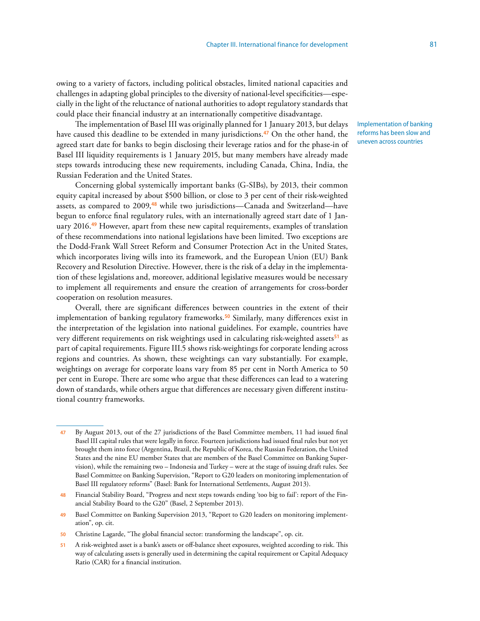owing to a variety of factors, including political obstacles, limited national capacities and challenges in adapting global principles to the diversity of national-level specificities—especially in the light of the reluctance of national authorities to adopt regulatory standards that could place their financial industry at an internationally competitive disadvantage.

The implementation of Basel III was originally planned for 1 January 2013, but delays have caused this deadline to be extended in many jurisdictions.**<sup>47</sup>** On the other hand, the agreed start date for banks to begin disclosing their leverage ratios and for the phase-in of Basel III liquidity requirements is 1 January 2015, but many members have already made steps towards introducing these new requirements, including Canada, China, India, the Russian Federation and the United States.

Concerning global systemically important banks (G-SIBs), by 2013, their common equity capital increased by about \$500 billion, or close to 3 per cent of their risk-weighted assets, as compared to 2009,**<sup>48</sup>** while two jurisdictions—Canada and Switzerland—have begun to enforce final regulatory rules, with an internationally agreed start date of 1 January 2016.**<sup>49</sup>** However, apart from these new capital requirements, examples of translation of these recommendations into national legislations have been limited. Two exceptions are the Dodd-Frank Wall Street Reform and Consumer Protection Act in the United States, which incorporates living wills into its framework, and the European Union (EU) Bank Recovery and Resolution Directive. However, there is the risk of a delay in the implementation of these legislations and, moreover, additional legislative measures would be necessary to implement all requirements and ensure the creation of arrangements for cross-border cooperation on resolution measures.

Overall, there are significant differences between countries in the extent of their implementation of banking regulatory frameworks.**<sup>50</sup>** Similarly, many differences exist in the interpretation of the legislation into national guidelines. For example, countries have very different requirements on risk weightings used in calculating risk-weighted assets**<sup>51</sup>** as part of capital requirements. Figure III.5 shows risk-weightings for corporate lending across regions and countries. As shown, these weightings can vary substantially. For example, weightings on average for corporate loans vary from 85 per cent in North America to 50 per cent in Europe. There are some who argue that these differences can lead to a watering down of standards, while others argue that differences are necessary given different institutional country frameworks.

Implementation of banking reforms has been slow and uneven across countries

**<sup>47</sup>** By August 2013, out of the 27 jurisdictions of the Basel Committee members, 11 had issued final Basel III capital rules that were legally in force. Fourteen jurisdictions had issued final rules but not yet brought them into force (Argentina, Brazil, the Republic of Korea, the Russian Federation, the United States and the nine EU member States that are members of the Basel Committee on Banking Supervision), while the remaining two – Indonesia and Turkey – were at the stage of issuing draft rules. See Basel Committee on Banking Supervision, "Report to G20 leaders on monitoring implementation of Basel III regulatory reforms" (Basel: Bank for International Settlements, August 2013).

**<sup>48</sup>** Financial Stability Board, "Progress and next steps towards ending 'too big to fail': report of the Financial Stability Board to the G20" (Basel, 2 September 2013).

**<sup>49</sup>** Basel Committee on Banking Supervision 2013, "Report to G20 leaders on monitoring implementation", op. cit.

**<sup>50</sup>** Christine Lagarde, "The global financial sector: transforming the landscape", op. cit.

**<sup>51</sup>** A risk-weighted asset is a bank's assets or off-balance sheet exposures, weighted according to risk. This way of calculating assets is generally used in determining the capital requirement or Capital Adequacy Ratio (CAR) for a financial institution.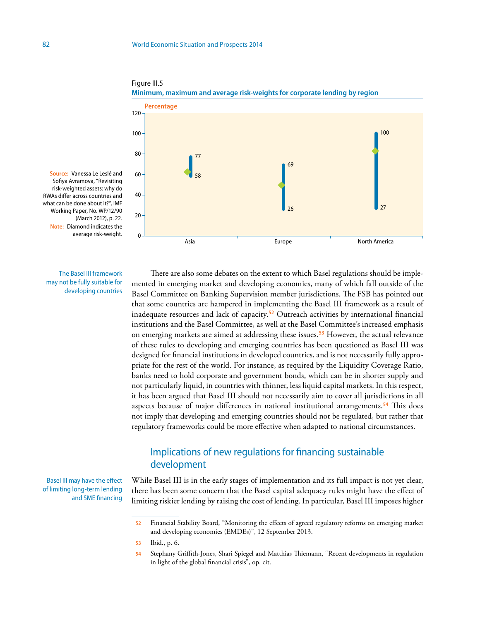

Figure III.5 **Minimum, maximum and average risk-weights for corporate lending by region**

**Source:** Vanessa Le Leslé and Sofiya Avramova, "Revisiting risk-weighted assets: why do RWAs differ across countries and what can be done about it?", IMF Working Paper, No. WP/12/90 (March 2012), p. 22. **Note:** Diamond indicates the average risk-weight.

The Basel III framework may not be fully suitable for developing countries

There are also some debates on the extent to which Basel regulations should be implemented in emerging market and developing economies, many of which fall outside of the Basel Committee on Banking Supervision member jurisdictions. The FSB has pointed out that some countries are hampered in implementing the Basel III framework as a result of inadequate resources and lack of capacity.**<sup>52</sup>** Outreach activities by international financial institutions and the Basel Committee, as well at the Basel Committee's increased emphasis on emerging markets are aimed at addressing these issues.**<sup>53</sup>** However, the actual relevance of these rules to developing and emerging countries has been questioned as Basel III was designed for financial institutions in developed countries, and is not necessarily fully appropriate for the rest of the world. For instance, as required by the Liquidity Coverage Ratio, banks need to hold corporate and government bonds, which can be in shorter supply and not particularly liquid, in countries with thinner, less liquid capital markets. In this respect, it has been argued that Basel III should not necessarily aim to cover all jurisdictions in all aspects because of major differences in national institutional arrangements.**<sup>54</sup>** This does not imply that developing and emerging countries should not be regulated, but rather that regulatory frameworks could be more effective when adapted to national circumstances.

## Implications of new regulations for financing sustainable development

Basel III may have the effect of limiting long-term lending and SME financing

While Basel III is in the early stages of implementation and its full impact is not yet clear, there has been some concern that the Basel capital adequacy rules might have the effect of limiting riskier lending by raising the cost of lending. In particular, Basel III imposes higher

**<sup>52</sup>** Financial Stability Board, "Monitoring the effects of agreed regulatory reforms on emerging market and developing economies (EMDEs)", 12 September 2013.

**<sup>53</sup>** Ibid., p. 6.

**<sup>54</sup>** Stephany Griffith-Jones, Shari Spiegel and Matthias Thiemann, "Recent developments in regulation in light of the global financial crisis", op. cit.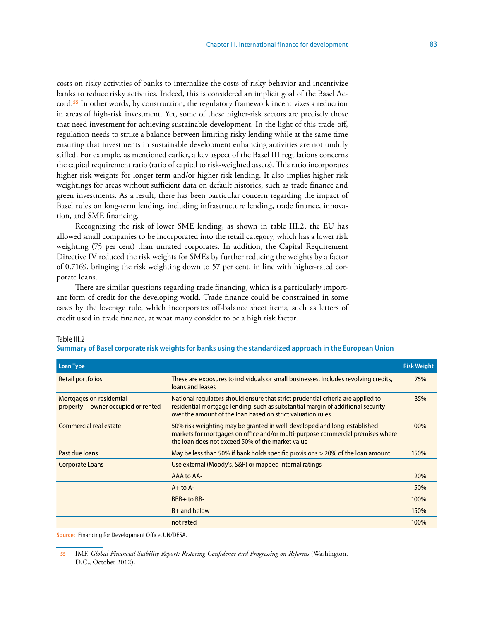costs on risky activities of banks to internalize the costs of risky behavior and incentivize banks to reduce risky activities. Indeed, this is considered an implicit goal of the Basel Accord.**<sup>55</sup>** In other words, by construction, the regulatory framework incentivizes a reduction in areas of high-risk investment. Yet, some of these higher-risk sectors are precisely those that need investment for achieving sustainable development. In the light of this trade-off, regulation needs to strike a balance between limiting risky lending while at the same time ensuring that investments in sustainable development enhancing activities are not unduly stifled. For example, as mentioned earlier, a key aspect of the Basel III regulations concerns the capital requirement ratio (ratio of capital to risk-weighted assets). This ratio incorporates higher risk weights for longer-term and/or higher-risk lending. It also implies higher risk weightings for areas without sufficient data on default histories, such as trade finance and green investments. As a result, there has been particular concern regarding the impact of Basel rules on long-term lending, including infrastructure lending, trade finance, innovation, and SME financing.

Recognizing the risk of lower SME lending, as shown in table III.2, the EU has allowed small companies to be incorporated into the retail category, which has a lower risk weighting (75 per cent) than unrated corporates. In addition, the Capital Requirement Directive IV reduced the risk weights for SMEs by further reducing the weights by a factor of 0.7169, bringing the risk weighting down to 57 per cent, in line with higher-rated corporate loans.

There are similar questions regarding trade financing, which is a particularly important form of credit for the developing world. Trade finance could be constrained in some cases by the leverage rule, which incorporates off-balance sheet items, such as letters of credit used in trade finance, at what many consider to be a high risk factor.

| <b>Loan Type</b>                                              |                                                                                                                                                                                                                                    | <b>Risk Weight</b> |
|---------------------------------------------------------------|------------------------------------------------------------------------------------------------------------------------------------------------------------------------------------------------------------------------------------|--------------------|
| Retail portfolios                                             | These are exposures to individuals or small businesses. Includes revolving credits,<br>loans and leases                                                                                                                            | 75%                |
| Mortgages on residential<br>property-owner occupied or rented | National regulators should ensure that strict prudential criteria are applied to<br>residential mortgage lending, such as substantial margin of additional security<br>over the amount of the loan based on strict valuation rules | 35%                |
| Commercial real estate                                        | 50% risk weighting may be granted in well-developed and long-established<br>markets for mortgages on office and/or multi-purpose commercial premises where<br>the loan does not exceed 50% of the market value                     | 100%               |
| Past due loans                                                | May be less than 50% if bank holds specific provisions $>$ 20% of the loan amount                                                                                                                                                  | 150%               |
| <b>Corporate Loans</b>                                        | Use external (Moody's, S&P) or mapped internal ratings                                                                                                                                                                             |                    |
|                                                               | AAA to AA-                                                                                                                                                                                                                         | 20%                |
|                                                               | $A+$ to $A-$                                                                                                                                                                                                                       | 50%                |
|                                                               | BBB+ to BB-                                                                                                                                                                                                                        | 100%               |
|                                                               | $B+$ and below                                                                                                                                                                                                                     | 150%               |
|                                                               | not rated                                                                                                                                                                                                                          | 100%               |

#### Table III.2

**Summary of Basel corporate risk weights for banks using the standardized approach in the European Union**

**Source:** Financing for Development Office, UN/DESA.

**55** IMF, *Global Financial Stability Report: Restoring Confidence and Progressing on Reforms* (Washington, D.C., October 2012).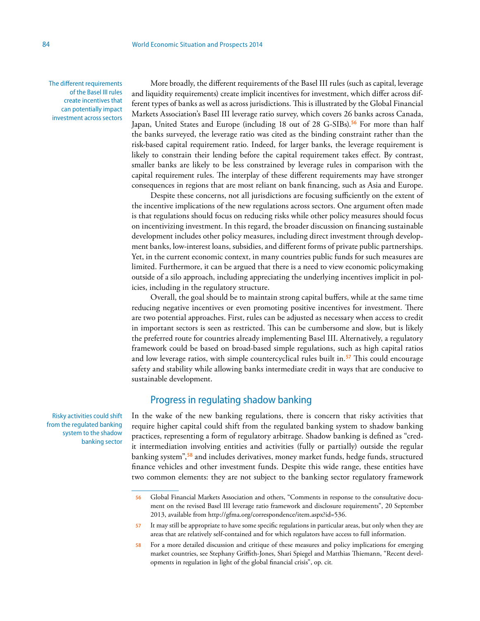The different requirements of the Basel III rules create incentives that can potentially impact investment across sectors

More broadly, the different requirements of the Basel III rules (such as capital, leverage and liquidity requirements) create implicit incentives for investment, which differ across different types of banks as well as across jurisdictions. This is illustrated by the Global Financial Markets Association's Basel III leverage ratio survey, which covers 26 banks across Canada, Japan, United States and Europe (including 18 out of 28 G-SIBs).**<sup>56</sup>** For more than half the banks surveyed, the leverage ratio was cited as the binding constraint rather than the risk-based capital requirement ratio. Indeed, for larger banks, the leverage requirement is likely to constrain their lending before the capital requirement takes effect. By contrast, smaller banks are likely to be less constrained by leverage rules in comparison with the capital requirement rules. The interplay of these different requirements may have stronger consequences in regions that are most reliant on bank financing, such as Asia and Europe.

Despite these concerns, not all jurisdictions are focusing sufficiently on the extent of the incentive implications of the new regulations across sectors. One argument often made is that regulations should focus on reducing risks while other policy measures should focus on incentivizing investment. In this regard, the broader discussion on financing sustainable development includes other policy measures, including direct investment through development banks, low-interest loans, subsidies, and different forms of private public partnerships. Yet, in the current economic context, in many countries public funds for such measures are limited. Furthermore, it can be argued that there is a need to view economic policymaking outside of a silo approach, including appreciating the underlying incentives implicit in policies, including in the regulatory structure.

Overall, the goal should be to maintain strong capital buffers, while at the same time reducing negative incentives or even promoting positive incentives for investment. There are two potential approaches. First, rules can be adjusted as necessary when access to credit in important sectors is seen as restricted. This can be cumbersome and slow, but is likely the preferred route for countries already implementing Basel III. Alternatively, a regulatory framework could be based on broad-based simple regulations, such as high capital ratios and low leverage ratios, with simple countercyclical rules built in.**<sup>57</sup>** This could encourage safety and stability while allowing banks intermediate credit in ways that are conducive to sustainable development.

#### Progress in regulating shadow banking

In the wake of the new banking regulations, there is concern that risky activities that require higher capital could shift from the regulated banking system to shadow banking practices, representing a form of regulatory arbitrage. Shadow banking is defined as "credit intermediation involving entities and activities (fully or partially) outside the regular banking system",**<sup>58</sup>** and includes derivatives, money market funds, hedge funds, structured finance vehicles and other investment funds. Despite this wide range, these entities have two common elements: they are not subject to the banking sector regulatory framework

Risky activities could shift from the regulated banking system to the shadow banking sector

**<sup>56</sup>** Global Financial Markets Association and others, "Comments in response to the consultative document on the revised Basel III leverage ratio framework and disclosure requirements", 20 September 2013, available from http://gfma.org/correspondence/item.aspx?id=536.

**<sup>57</sup>** It may still be appropriate to have some specific regulations in particular areas, but only when they are areas that are relatively self-contained and for which regulators have access to full information.

**<sup>58</sup>** For a more detailed discussion and critique of these measures and policy implications for emerging market countries, see Stephany Griffith-Jones, Shari Spiegel and Matthias Thiemann, "Recent developments in regulation in light of the global financial crisis", op. cit*.*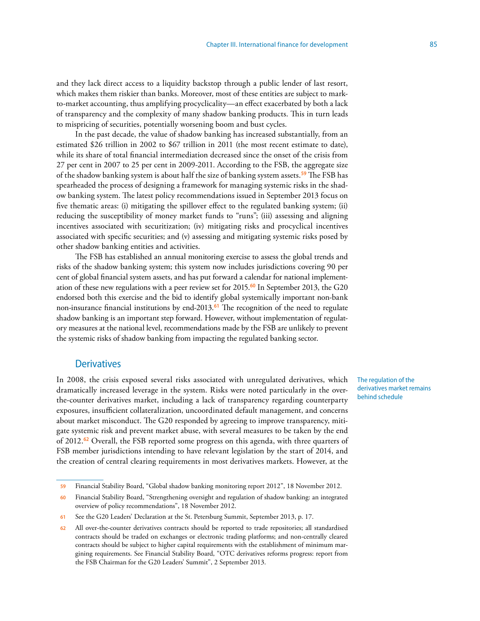and they lack direct access to a liquidity backstop through a public lender of last resort, which makes them riskier than banks. Moreover, most of these entities are subject to markto-market accounting, thus amplifying procyclicality—an effect exacerbated by both a lack of transparency and the complexity of many shadow banking products. This in turn leads to mispricing of securities, potentially worsening boom and bust cycles.

In the past decade, the value of shadow banking has increased substantially, from an estimated \$26 trillion in 2002 to \$67 trillion in 2011 (the most recent estimate to date), while its share of total financial intermediation decreased since the onset of the crisis from 27 per cent in 2007 to 25 per cent in 2009-2011. According to the FSB, the aggregate size of the shadow banking system is about half the size of banking system assets.**<sup>59</sup>** The FSB has spearheaded the process of designing a framework for managing systemic risks in the shadow banking system. The latest policy recommendations issued in September 2013 focus on five thematic areas: (i) mitigating the spillover effect to the regulated banking system; (ii) reducing the susceptibility of money market funds to "runs"; (iii) assessing and aligning incentives associated with securitization; (iv) mitigating risks and procyclical incentives associated with specific securities; and (v) assessing and mitigating systemic risks posed by other shadow banking entities and activities.

The FSB has established an annual monitoring exercise to assess the global trends and risks of the shadow banking system; this system now includes jurisdictions covering 90 per cent of global financial system assets, and has put forward a calendar for national implementation of these new regulations with a peer review set for 2015.**<sup>60</sup>** In September 2013, the G20 endorsed both this exercise and the bid to identify global systemically important non-bank non-insurance financial institutions by end-2013.**<sup>61</sup>** The recognition of the need to regulate shadow banking is an important step forward. However, without implementation of regulatory measures at the national level, recommendations made by the FSB are unlikely to prevent the systemic risks of shadow banking from impacting the regulated banking sector.

#### **Derivatives**

In 2008, the crisis exposed several risks associated with unregulated derivatives, which dramatically increased leverage in the system. Risks were noted particularly in the overthe-counter derivatives market, including a lack of transparency regarding counterparty exposures, insufficient collateralization, uncoordinated default management, and concerns about market misconduct. The G20 responded by agreeing to improve transparency, mitigate systemic risk and prevent market abuse, with several measures to be taken by the end of 2012.**<sup>62</sup>** Overall, the FSB reported some progress on this agenda, with three quarters of FSB member jurisdictions intending to have relevant legislation by the start of 2014, and the creation of central clearing requirements in most derivatives markets. However, at the

The regulation of the derivatives market remains behind schedule

**<sup>59</sup>** Financial Stability Board, "Global shadow banking monitoring report 2012", 18 November 2012.

**<sup>60</sup>** Financial Stability Board, "Strengthening oversight and regulation of shadow banking: an integrated overview of policy recommendations", 18 November 2012.

**<sup>61</sup>** See the G20 Leaders' Declaration at the St. Petersburg Summit, September 2013, p. 17.

**<sup>62</sup>** All over-the-counter derivatives contracts should be reported to trade repositories; all standardised contracts should be traded on exchanges or electronic trading platforms; and non-centrally cleared contracts should be subject to higher capital requirements with the establishment of minimum margining requirements. See Financial Stability Board, "OTC derivatives reforms progress: report from the FSB Chairman for the G20 Leaders' Summit", 2 September 2013.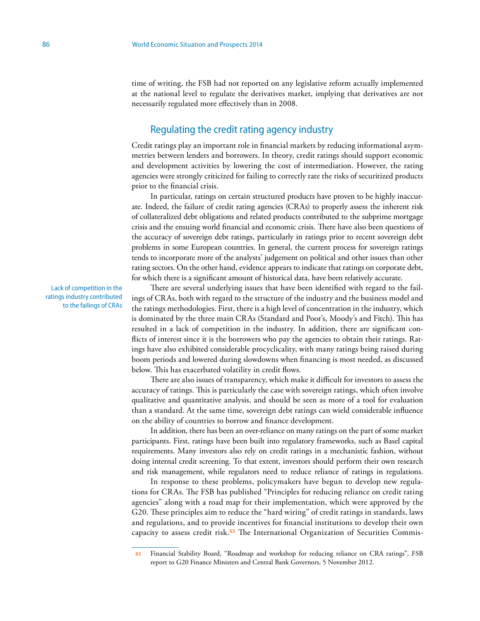time of writing, the FSB had not reported on any legislative reform actually implemented at the national level to regulate the derivatives market, implying that derivatives are not necessarily regulated more effectively than in 2008.

### Regulating the credit rating agency industry

Credit ratings play an important role in financial markets by reducing informational asymmetries between lenders and borrowers. In theory, credit ratings should support economic and development activities by lowering the cost of intermediation. However, the rating agencies were strongly criticized for failing to correctly rate the risks of securitized products prior to the financial crisis.

In particular, ratings on certain structured products have proven to be highly inaccurate. Indeed, the failure of credit rating agencies (CRAs) to properly assess the inherent risk of collateralized debt obligations and related products contributed to the subprime mortgage crisis and the ensuing world financial and economic crisis. There have also been questions of the accuracy of sovereign debt ratings, particularly in ratings prior to recent sovereign debt problems in some European countries. In general, the current process for sovereign ratings tends to incorporate more of the analysts' judgement on political and other issues than other rating sectors. On the other hand, evidence appears to indicate that ratings on corporate debt, for which there is a significant amount of historical data, have been relatively accurate.

There are several underlying issues that have been identified with regard to the failings of CRAs, both with regard to the structure of the industry and the business model and the ratings methodologies. First, there is a high level of concentration in the industry, which is dominated by the three main CRAs (Standard and Poor's, Moody's and Fitch). This has resulted in a lack of competition in the industry. In addition, there are significant conflicts of interest since it is the borrowers who pay the agencies to obtain their ratings. Ratings have also exhibited considerable procyclicality, with many ratings being raised during boom periods and lowered during slowdowns when financing is most needed, as discussed below. This has exacerbated volatility in credit flows.

There are also issues of transparency, which make it difficult for investors to assess the accuracy of ratings. This is particularly the case with sovereign ratings, which often involve qualitative and quantitative analysis, and should be seen as more of a tool for evaluation than a standard. At the same time, sovereign debt ratings can wield considerable influence on the ability of countries to borrow and finance development.

In addition, there has been an over-reliance on many ratings on the part of some market participants. First, ratings have been built into regulatory frameworks, such as Basel capital requirements. Many investors also rely on credit ratings in a mechanistic fashion, without doing internal credit screening. To that extent, investors should perform their own research and risk management, while regulators need to reduce reliance of ratings in regulations.

In response to these problems, policymakers have begun to develop new regulations for CRAs. The FSB has published "Principles for reducing reliance on credit rating agencies" along with a road map for their implementation, which were approved by the G20. These principles aim to reduce the "hard wiring" of credit ratings in standards, laws and regulations, and to provide incentives for financial institutions to develop their own capacity to assess credit risk.**63** The International Organization of Securities Commis-

Lack of competition in the ratings industry contributed to the failings of CRAs

**<sup>63</sup>** Financial Stability Board, "Roadmap and workshop for reducing reliance on CRA ratings", FSB report to G20 Finance Ministers and Central Bank Governors, 5 November 2012.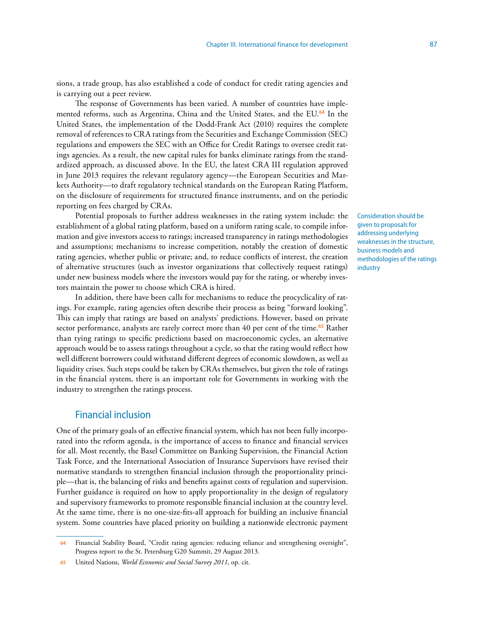sions, a trade group, has also established a code of conduct for credit rating agencies and is carrying out a peer review.

The response of Governments has been varied. A number of countries have implemented reforms, such as Argentina, China and the United States, and the EU.**<sup>64</sup>** In the United States, the implementation of the Dodd-Frank Act (2010) requires the complete removal of references to CRA ratings from the Securities and Exchange Commission (SEC) regulations and empowers the SEC with an Office for Credit Ratings to oversee credit ratings agencies. As a result, the new capital rules for banks eliminate ratings from the standardized approach, as discussed above. In the EU, the latest CRA III regulation approved in June 2013 requires the relevant regulatory agency—the European Securities and Markets Authority—to draft regulatory technical standards on the European Rating Platform, on the disclosure of requirements for structured finance instruments, and on the periodic reporting on fees charged by CRAs.

Potential proposals to further address weaknesses in the rating system include: the establishment of a global rating platform, based on a uniform rating scale, to compile information and give investors access to ratings; increased transparency in ratings methodologies and assumptions; mechanisms to increase competition, notably the creation of domestic rating agencies, whether public or private; and, to reduce conflicts of interest, the creation of alternative structures (such as investor organizations that collectively request ratings) under new business models where the investors would pay for the rating, or whereby investors maintain the power to choose which CRA is hired.

In addition, there have been calls for mechanisms to reduce the procyclicality of ratings. For example, rating agencies often describe their process as being "forward looking". This can imply that ratings are based on analysts' predictions. However, based on private sector performance, analysts are rarely correct more than 40 per cent of the time.**<sup>65</sup>** Rather than tying ratings to specific predictions based on macroeconomic cycles, an alternative approach would be to assess ratings throughout a cycle, so that the rating would reflect how well different borrowers could withstand different degrees of economic slowdown, as well as liquidity crises. Such steps could be taken by CRAs themselves, but given the role of ratings in the financial system, there is an important role for Governments in working with the industry to strengthen the ratings process.

#### Financial inclusion

One of the primary goals of an effective financial system, which has not been fully incorporated into the reform agenda, is the importance of access to finance and financial services for all. Most recently, the Basel Committee on Banking Supervision, the Financial Action Task Force, and the International Association of Insurance Supervisors have revised their normative standards to strengthen financial inclusion through the proportionality principle—that is, the balancing of risks and benefits against costs of regulation and supervision. Further guidance is required on how to apply proportionality in the design of regulatory and supervisory frameworks to promote responsible financial inclusion at the country level. At the same time, there is no one-size-fits-all approach for building an inclusive financial system. Some countries have placed priority on building a nationwide electronic payment

Consideration should be given to proposals for addressing underlying weaknesses in the structure, business models and methodologies of the ratings industry

**<sup>64</sup>** Financial Stability Board, "Credit rating agencies: reducing reliance and strengthening oversight", Progress report to the St. Petersburg G20 Summit, 29 August 2013.

**<sup>65</sup>** United Nations, *World Economic and Social Survey 2011*, op. cit.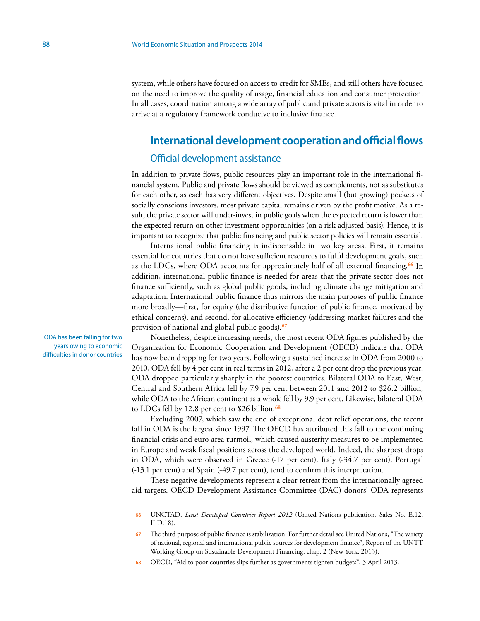system, while others have focused on access to credit for SMEs, and still others have focused on the need to improve the quality of usage, financial education and consumer protection. In all cases, coordination among a wide array of public and private actors is vital in order to arrive at a regulatory framework conducive to inclusive finance.

## **International development cooperation and official flows**

### Official development assistance

In addition to private flows, public resources play an important role in the international financial system. Public and private flows should be viewed as complements, not as substitutes for each other, as each has very different objectives. Despite small (but growing) pockets of socially conscious investors, most private capital remains driven by the profit motive. As a result, the private sector will under-invest in public goals when the expected return is lower than the expected return on other investment opportunities (on a risk-adjusted basis). Hence, it is important to recognize that public financing and public sector policies will remain essential.

International public financing is indispensable in two key areas. First, it remains essential for countries that do not have sufficient resources to fulfil development goals, such as the LDCs, where ODA accounts for approximately half of all external financing.**<sup>66</sup>** In addition, international public finance is needed for areas that the private sector does not finance sufficiently, such as global public goods, including climate change mitigation and adaptation. International public finance thus mirrors the main purposes of public finance more broadly—first, for equity (the distributive function of public finance, motivated by ethical concerns), and second, for allocative efficiency (addressing market failures and the provision of national and global public goods).**<sup>67</sup>**

Nonetheless, despite increasing needs, the most recent ODA figures published by the Organization for Economic Cooperation and Development (OECD) indicate that ODA has now been dropping for two years. Following a sustained increase in ODA from 2000 to 2010, ODA fell by 4 per cent in real terms in 2012, after a 2 per cent drop the previous year. ODA dropped particularly sharply in the poorest countries. Bilateral ODA to East, West, Central and Southern Africa fell by 7.9 per cent between 2011 and 2012 to \$26.2 billion, while ODA to the African continent as a whole fell by 9.9 per cent. Likewise, bilateral ODA to LDCs fell by 12.8 per cent to \$26 billion.**<sup>68</sup>**

Excluding 2007, which saw the end of exceptional debt relief operations, the recent fall in ODA is the largest since 1997. The OECD has attributed this fall to the continuing financial crisis and euro area turmoil, which caused austerity measures to be implemented in Europe and weak fiscal positions across the developed world. Indeed, the sharpest drops in ODA, which were observed in Greece (-17 per cent), Italy (-34.7 per cent), Portugal (-13.1 per cent) and Spain (-49.7 per cent), tend to confirm this interpretation.

These negative developments represent a clear retreat from the internationally agreed aid targets. OECD Development Assistance Committee (DAC) donors' ODA represents

ODA has been falling for two years owing to economic difficulties in donor countries

**<sup>66</sup>** UNCTAD, *Least Developed Countries Report 2012* (United Nations publication, Sales No. E.12. II.D.18).

**<sup>67</sup>** The third purpose of public finance is stabilization. For further detail see United Nations, "The variety of national, regional and international public sources for development finance", Report of the UNTT Working Group on Sustainable Development Financing, chap. 2 (New York, 2013).

**<sup>68</sup>** OECD, "Aid to poor countries slips further as governments tighten budgets", 3 April 2013.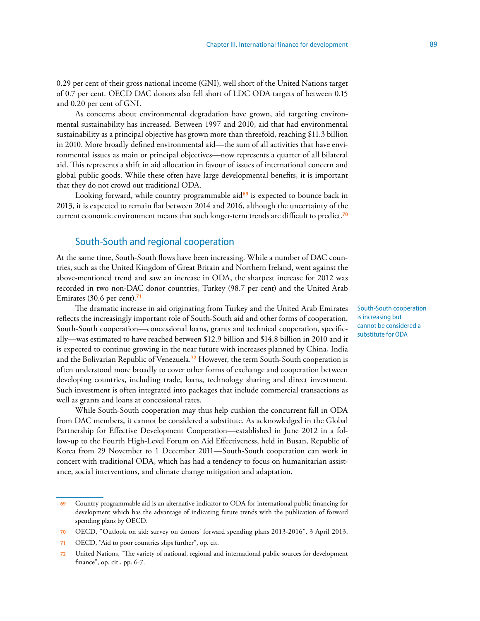0.29 per cent of their gross national income (GNI), well short of the United Nations target of 0.7 per cent. OECD DAC donors also fell short of LDC ODA targets of between 0.15 and 0.20 per cent of GNI.

As concerns about environmental degradation have grown, aid targeting environmental sustainability has increased. Between 1997 and 2010, aid that had environmental sustainability as a principal objective has grown more than threefold, reaching \$11.3 billion in 2010. More broadly defined environmental aid—the sum of all activities that have environmental issues as main or principal objectives—now represents a quarter of all bilateral aid. This represents a shift in aid allocation in favour of issues of international concern and global public goods. While these often have large developmental benefits, it is important that they do not crowd out traditional ODA.

Looking forward, while country programmable aid**<sup>69</sup>** is expected to bounce back in 2013, it is expected to remain flat between 2014 and 2016, although the uncertainty of the current economic environment means that such longer-term trends are difficult to predict.**<sup>70</sup>**

#### South-South and regional cooperation

At the same time, South-South flows have been increasing. While a number of DAC countries, such as the United Kingdom of Great Britain and Northern Ireland, went against the above-mentioned trend and saw an increase in ODA, the sharpest increase for 2012 was recorded in two non-DAC donor countries, Turkey (98.7 per cent) and the United Arab Emirates (30.6 per cent).**<sup>71</sup>**

The dramatic increase in aid originating from Turkey and the United Arab Emirates reflects the increasingly important role of South-South aid and other forms of cooperation. South-South cooperation—concessional loans, grants and technical cooperation, specifically—was estimated to have reached between \$12.9 billion and \$14.8 billion in 2010 and it is expected to continue growing in the near future with increases planned by China, India and the Bolivarian Republic of Venezuela.**<sup>72</sup>** However, the term South-South cooperation is often understood more broadly to cover other forms of exchange and cooperation between developing countries, including trade, loans, technology sharing and direct investment. Such investment is often integrated into packages that include commercial transactions as well as grants and loans at concessional rates.

While South-South cooperation may thus help cushion the concurrent fall in ODA from DAC members, it cannot be considered a substitute. As acknowledged in the Global Partnership for Effective Development Cooperation—established in June 2012 in a follow-up to the Fourth High-Level Forum on Aid Effectiveness, held in Busan, Republic of Korea from 29 November to 1 December 2011—South-South cooperation can work in concert with traditional ODA, which has had a tendency to focus on humanitarian assistance, social interventions, and climate change mitigation and adaptation.

- **70** OECD, "Outlook on aid: survey on donors' forward spending plans 2013-2016", 3 April 2013.
- **71** OECD, "Aid to poor countries slips further", op. cit.
- **72** United Nations, "The variety of national, regional and international public sources for development finance", op. cit., pp. 6-7.

South-South cooperation is increasing but cannot be considered a substitute for ODA

**<sup>69</sup>** Country programmable aid is an alternative indicator to ODA for international public financing for development which has the advantage of indicating future trends with the publication of forward spending plans by OECD.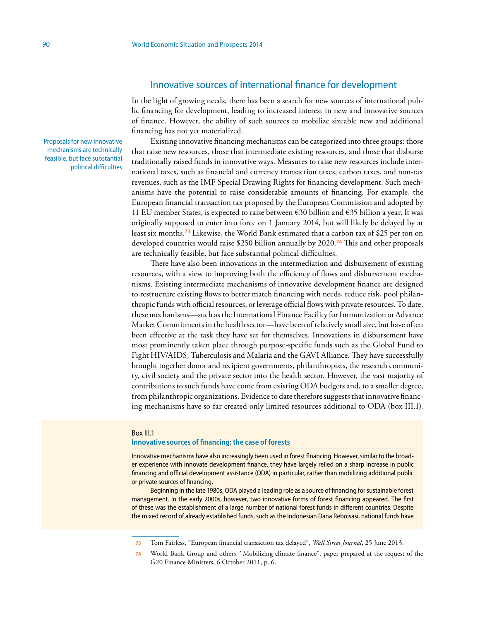#### Innovative sources of international finance for development

In the light of growing needs, there has been a search for new sources of international public financing for development, leading to increased interest in new and innovative sources of finance. However, the ability of such sources to mobilize sizeable new and additional financing has not yet materialized.

Existing innovative financing mechanisms can be categorized into three groups: those that raise new resources, those that intermediate existing resources, and those that disburse traditionally raised funds in innovative ways. Measures to raise new resources include international taxes, such as financial and currency transaction taxes, carbon taxes, and non-tax revenues, such as the IMF Special Drawing Rights for financing development. Such mechanisms have the potential to raise considerable amounts of financing. For example, the European financial transaction tax proposed by the European Commission and adopted by 11 EU member States, is expected to raise between  $\epsilon$ 30 billion and  $\epsilon$ 35 billion a year. It was originally supposed to enter into force on 1 January 2014, but will likely be delayed by at least six months.**<sup>73</sup>** Likewise, the World Bank estimated that a carbon tax of \$25 per ton on developed countries would raise \$250 billion annually by 2020.**<sup>74</sup>** This and other proposals are technically feasible, but face substantial political difficulties.

There have also been innovations in the intermediation and disbursement of existing resources, with a view to improving both the efficiency of flows and disbursement mechanisms. Existing intermediate mechanisms of innovative development finance are designed to restructure existing flows to better match financing with needs, reduce risk, pool philanthropic funds with official resources, or leverage official flows with private resources. To date, these mechanisms—such as the International Finance Facility for Immunization or Advance Market Commitments in the health sector—have been of relatively small size, but have often been effective at the task they have set for themselves. Innovations in disbursement have most prominently taken place through purpose-specific funds such as the Global Fund to Fight HIV/AIDS, Tuberculosis and Malaria and the GAVI Alliance. They have successfully brought together donor and recipient governments, philanthropists, the research community, civil society and the private sector into the health sector. However, the vast majority of contributions to such funds have come from existing ODA budgets and, to a smaller degree, from philanthropic organizations. Evidence to date therefore suggests that innovative financing mechanisms have so far created only limited resources additional to ODA (box III.1).

#### Box III.1

#### **Innovative sources of financing: the case of forests**

Innovative mechanisms have also increasingly been used in forest financing. However, similar to the broader experience with innovate development finance, they have largely relied on a sharp increase in public financing and official development assistance (ODA) in particular, rather than mobilizing additional public or private sources of financing.

Beginning in the late 1980s, ODA played a leading role as a source of financing for sustainable forest management. In the early 2000s, however, two innovative forms of forest financing appeared. The first of these was the establishment of a large number of national forest funds in different countries. Despite the mixed record of already established funds, such as the Indonesian Dana Reboisasi, national funds have

Proposals for new innovative mechanisms are technically feasible, but face substantial political difficulties

**<sup>73</sup>** Tom Fairless, "European financial transaction tax delayed", *Wall Street Journal*, 25 June 2013.

**<sup>74</sup>** World Bank Group and others, "Mobilizing climate finance", paper prepared at the request of the G20 Finance Ministers, 6 October 2011, p. 6.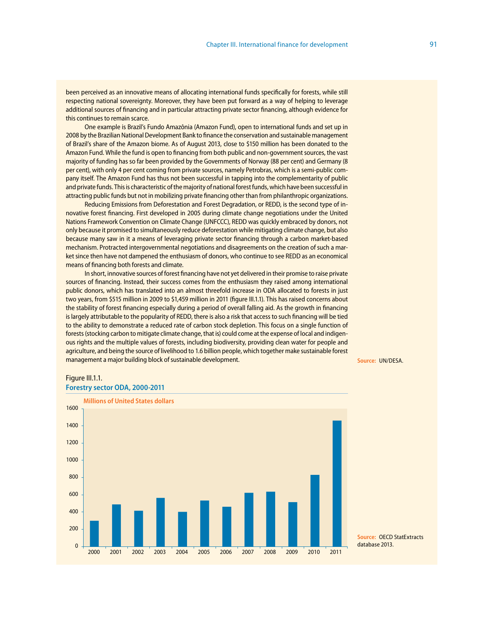been perceived as an innovative means of allocating international funds specifically for forests, while still respecting national sovereignty. Moreover, they have been put forward as a way of helping to leverage additional sources of financing and in particular attracting private sector financing, although evidence for this continues to remain scarce.

One example is Brazil's Fundo Amazônia (Amazon Fund), open to international funds and set up in 2008 by the Brazilian National Development Bank to finance the conservation and sustainable management of Brazil's share of the Amazon biome. As of August 2013, close to \$150 million has been donated to the Amazon Fund. While the fund is open to financing from both public and non-government sources, the vast majority of funding has so far been provided by the Governments of Norway (88 per cent) and Germany (8 per cent), with only 4 per cent coming from private sources, namely Petrobras, which is a semi-public company itself. The Amazon Fund has thus not been successful in tapping into the complementarity of public and private funds. This is characteristic of the majority of national forest funds, which have been successful in attracting public funds but not in mobilizing private financing other than from philanthropic organizations.

Reducing Emissions from Deforestation and Forest Degradation, or REDD, is the second type of innovative forest financing. First developed in 2005 during climate change negotiations under the United Nations Framework Convention on Climate Change (UNFCCC), REDD was quickly embraced by donors, not only because it promised to simultaneously reduce deforestation while mitigating climate change, but also because many saw in it a means of leveraging private sector financing through a carbon market-based mechanism. Protracted intergovernmental negotiations and disagreements on the creation of such a market since then have not dampened the enthusiasm of donors, who continue to see REDD as an economical means of financing both forests and climate.

In short, innovative sources of forest financing have not yet delivered in their promise to raise private sources of financing. Instead, their success comes from the enthusiasm they raised among international public donors, which has translated into an almost threefold increase in ODA allocated to forests in just two years, from \$515 million in 2009 to \$1,459 million in 2011 (figure III.1.1). This has raised concerns about the stability of forest financing especially during a period of overall falling aid. As the growth in financing is largely attributable to the popularity of REDD, there is also a risk that access to such financing will be tied to the ability to demonstrate a reduced rate of carbon stock depletion. This focus on a single function of forests (stocking carbon to mitigate climate change, that is) could come at the expense of local and indigenous rights and the multiple values of forests, including biodiversity, providing clean water for people and agriculture, and being the source of livelihood to 1.6 billion people, which together make sustainable forest management a major building block of sustainable development.

**Source:** UN/DESA.



#### Figure III.1.1. **Forestry sector ODA, 2000-2011**

**Source:** OECD StatExtracts database 2013.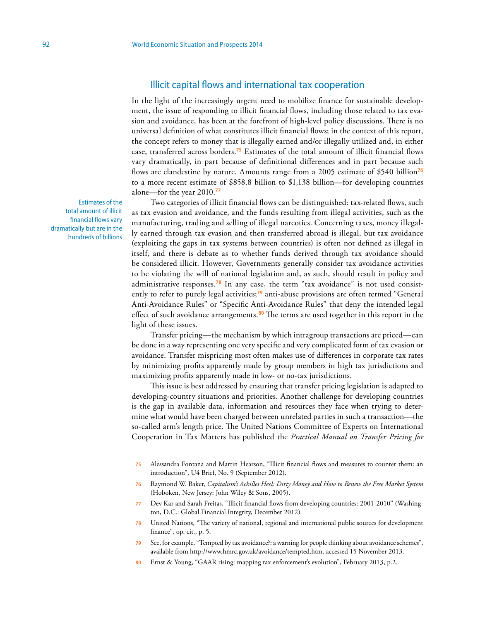#### Illicit capital flows and international tax cooperation

In the light of the increasingly urgent need to mobilize finance for sustainable development, the issue of responding to illicit financial flows, including those related to tax evasion and avoidance, has been at the forefront of high-level policy discussions. There is no universal definition of what constitutes illicit financial flows; in the context of this report, the concept refers to money that is illegally earned and/or illegally utilized and, in either case, transferred across borders.**<sup>75</sup>** Estimates of the total amount of illicit financial flows vary dramatically, in part because of definitional differences and in part because such flows are clandestine by nature. Amounts range from a 2005 estimate of \$540 billion**<sup>76</sup>** to a more recent estimate of \$858.8 billion to \$1,138 billion—for developing countries alone—for the year 2010.**<sup>77</sup>**

Two categories of illicit financial flows can be distinguished: tax-related flows, such as tax evasion and avoidance, and the funds resulting from illegal activities, such as the manufacturing, trading and selling of illegal narcotics. Concerning taxes, money illegally earned through tax evasion and then transferred abroad is illegal, but tax avoidance (exploiting the gaps in tax systems between countries) is often not defined as illegal in itself, and there is debate as to whether funds derived through tax avoidance should be considered illicit. However, Governments generally consider tax avoidance activities to be violating the will of national legislation and, as such, should result in policy and administrative responses.**78** In any case, the term "tax avoidance" is not used consistently to refer to purely legal activities;**<sup>79</sup>** anti-abuse provisions are often termed "General Anti-Avoidance Rules" or "Specific Anti-Avoidance Rules" that deny the intended legal effect of such avoidance arrangements.**<sup>80</sup>** The terms are used together in this report in the light of these issues.

Transfer pricing—the mechanism by which intragroup transactions are priced—can be done in a way representing one very specific and very complicated form of tax evasion or avoidance. Transfer mispricing most often makes use of differences in corporate tax rates by minimizing profits apparently made by group members in high tax jurisdictions and maximizing profits apparently made in low- or no-tax jurisdictions.

This issue is best addressed by ensuring that transfer pricing legislation is adapted to developing-country situations and priorities. Another challenge for developing countries is the gap in available data, information and resources they face when trying to determine what would have been charged between unrelated parties in such a transaction—the so-called arm's length price. The United Nations Committee of Experts on International Cooperation in Tax Matters has published the *Practical Manual on Transfer Pricing for* 

Estimates of the total amount of illicit financial flows vary dramatically but are in the hundreds of billions

**<sup>75</sup>** Alessandra Fontana and Martin Hearson, "Illicit financial flows and measures to counter them: an introduction", U4 Brief, No. 9 (September 2012).

**<sup>76</sup>** Raymond W. Baker, *Capitalism's Achilles Heel: Dirty Money and How to Renew the Free Market System* (Hoboken, New Jersey: John Wiley & Sons, 2005).

**<sup>77</sup>** Dev Kar and Sarah Freitas, "Illicit financial flows from developing countries: 2001-2010" (Washington, D.C.: Global Financial Integrity, December 2012).

**<sup>78</sup>** United Nations, "The variety of national, regional and international public sources for development finance", op. cit., p. 5.

**<sup>79</sup>** See, for example, "Tempted by tax avoidance?: a warning for people thinking about avoidance schemes", available from [http://www.hmrc.gov.uk/avoidance/tempted.htm, accessed 15 November 2013.](http://www.hmrc.gov.uk/avoidance/tempted.htm accessed 15 November 2013)

**<sup>80</sup>** Ernst & Young, "GAAR rising: mapping tax enforcement's evolution", February 2013, p.2.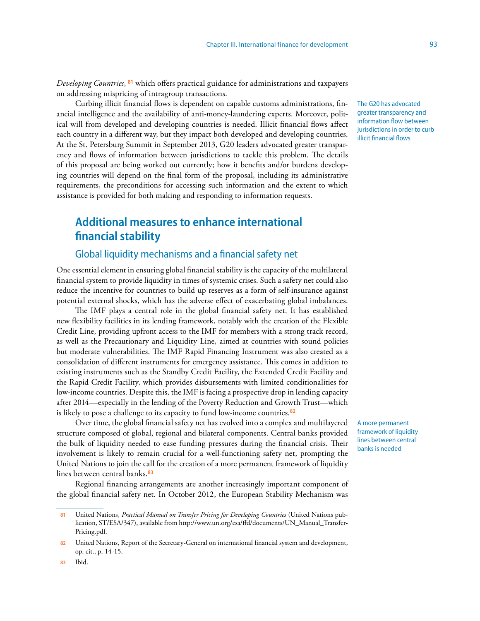*Developing Countries*, **<sup>81</sup>** which offers practical guidance for administrations and taxpayers on addressing mispricing of intragroup transactions.

Curbing illicit financial flows is dependent on capable customs administrations, financial intelligence and the availability of anti-money-laundering experts. Moreover, political will from developed and developing countries is needed. Illicit financial flows affect each country in a different way, but they impact both developed and developing countries. At the St. Petersburg Summit in September 2013, G20 leaders advocated greater transparency and flows of information between jurisdictions to tackle this problem. The details of this proposal are being worked out currently; how it benefits and/or burdens developing countries will depend on the final form of the proposal, including its administrative requirements, the preconditions for accessing such information and the extent to which assistance is provided for both making and responding to information requests.

## **Additional measures to enhance international financial stability**

#### Global liquidity mechanisms and a financial safety net

One essential element in ensuring global financial stability is the capacity of the multilateral financial system to provide liquidity in times of systemic crises. Such a safety net could also reduce the incentive for countries to build up reserves as a form of self-insurance against potential external shocks, which has the adverse effect of exacerbating global imbalances.

The IMF plays a central role in the global financial safety net. It has established new flexibility facilities in its lending framework, notably with the creation of the Flexible Credit Line, providing upfront access to the IMF for members with a strong track record, as well as the Precautionary and Liquidity Line, aimed at countries with sound policies but moderate vulnerabilities. The IMF Rapid Financing Instrument was also created as a consolidation of different instruments for emergency assistance. This comes in addition to existing instruments such as the Standby Credit Facility, the Extended Credit Facility and the Rapid Credit Facility, which provides disbursements with limited conditionalities for low-income countries. Despite this, the IMF is facing a prospective drop in lending capacity after 2014—especially in the lending of the Poverty Reduction and Growth Trust—which is likely to pose a challenge to its capacity to fund low-income countries.**<sup>82</sup>**

Over time, the global financial safety net has evolved into a complex and multilayered structure composed of global, regional and bilateral components. Central banks provided the bulk of liquidity needed to ease funding pressures during the financial crisis. Their involvement is likely to remain crucial for a well-functioning safety net, prompting the United Nations to join the call for the creation of a more permanent framework of liquidity lines between central banks.**<sup>83</sup>**

Regional financing arrangements are another increasingly important component of the global financial safety net. In October 2012, the European Stability Mechanism was

The G20 has advocated greater transparency and information flow between jurisdictions in order to curb illicit financial flows

A more permanent framework of liquidity lines between central banks is needed

**<sup>81</sup>** United Nations, *Practical Manual on Transfer Pricing for Developing Countries* (United Nations publication, ST/ESA/347), available from [http://www.un.org/esa/ffd/documents/UN\\_Manual\\_Transfer-](http://www.un.org/esa/ffd/documents/UN_Manual_TransferPricing.pdf)[Pricing.pdf](http://www.un.org/esa/ffd/documents/UN_Manual_TransferPricing.pdf).

**<sup>82</sup>** United Nations, Report of the Secretary-General on international financial system and development, op. cit., p. 14-15.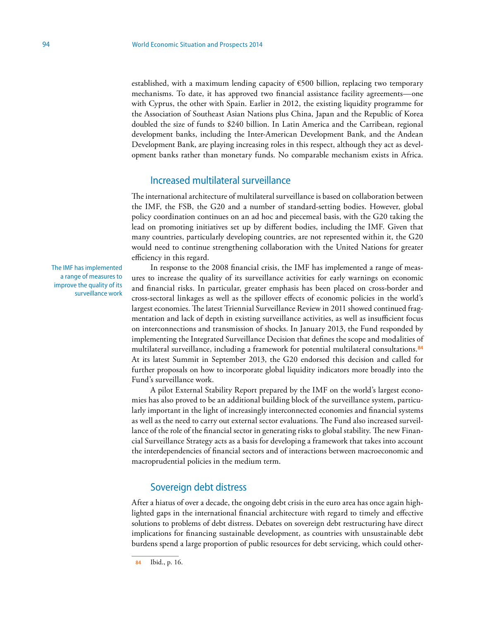established, with a maximum lending capacity of  $\epsilon$ 500 billion, replacing two temporary mechanisms. To date, it has approved two financial assistance facility agreements—one with Cyprus, the other with Spain. Earlier in 2012, the existing liquidity programme for the Association of Southeast Asian Nations plus China, Japan and the Republic of Korea doubled the size of funds to \$240 billion. In Latin America and the Carribean, regional development banks, including the Inter-American Development Bank, and the Andean Development Bank, are playing increasing roles in this respect, although they act as development banks rather than monetary funds. No comparable mechanism exists in Africa.

#### Increased multilateral surveillance

The international architecture of multilateral surveillance is based on collaboration between the IMF, the FSB, the G20 and a number of standard-setting bodies. However, global policy coordination continues on an ad hoc and piecemeal basis, with the G20 taking the lead on promoting initiatives set up by different bodies, including the IMF. Given that many countries, particularly developing countries, are not represented within it, the G20 would need to continue strengthening collaboration with the United Nations for greater efficiency in this regard.

The IMF has implemented a range of measures to improve the quality of its surveillance work

In response to the 2008 financial crisis, the IMF has implemented a range of measures to increase the quality of its surveillance activities for early warnings on economic and financial risks. In particular, greater emphasis has been placed on cross-border and cross-sectoral linkages as well as the spillover effects of economic policies in the world's largest economies. The latest Triennial Surveillance Review in 2011 showed continued fragmentation and lack of depth in existing surveillance activities, as well as insufficient focus on interconnections and transmission of shocks. In January 2013, the Fund responded by implementing the Integrated Surveillance Decision that defines the scope and modalities of multilateral surveillance, including a framework for potential multilateral consultations.**<sup>84</sup>** At its latest Summit in September 2013, the G20 endorsed this decision and called for further proposals on how to incorporate global liquidity indicators more broadly into the Fund's surveillance work.

A pilot External Stability Report prepared by the IMF on the world's largest economies has also proved to be an additional building block of the surveillance system, particularly important in the light of increasingly interconnected economies and financial systems as well as the need to carry out external sector evaluations. The Fund also increased surveillance of the role of the financial sector in generating risks to global stability. The new Financial Surveillance Strategy acts as a basis for developing a framework that takes into account the interdependencies of financial sectors and of interactions between macroeconomic and macroprudential policies in the medium term.

#### Sovereign debt distress

After a hiatus of over a decade, the ongoing debt crisis in the euro area has once again highlighted gaps in the international financial architecture with regard to timely and effective solutions to problems of debt distress. Debates on sovereign debt restructuring have direct implications for financing sustainable development, as countries with unsustainable debt burdens spend a large proportion of public resources for debt servicing, which could other-

**<sup>84</sup>** Ibid., p. 16.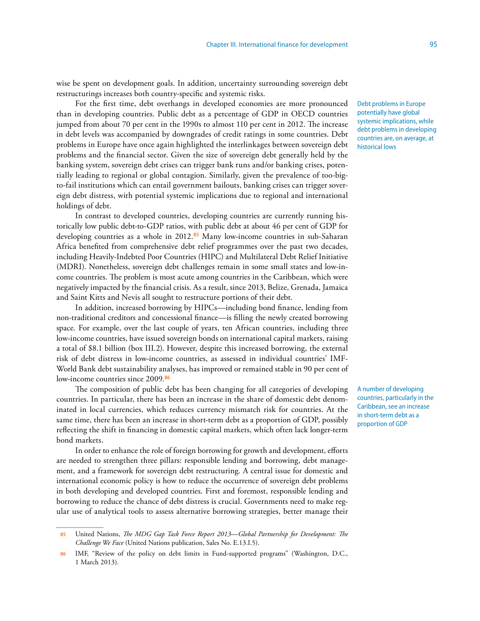wise be spent on development goals. In addition, uncertainty surrounding sovereign debt restructurings increases both country-specific and systemic risks.

For the first time, debt overhangs in developed economies are more pronounced than in developing countries. Public debt as a percentage of GDP in OECD countries jumped from about 70 per cent in the 1990s to almost 110 per cent in 2012. The increase in debt levels was accompanied by downgrades of credit ratings in some countries. Debt problems in Europe have once again highlighted the interlinkages between sovereign debt problems and the financial sector. Given the size of sovereign debt generally held by the banking system, sovereign debt crises can trigger bank runs and/or banking crises, potentially leading to regional or global contagion. Similarly, given the prevalence of too-bigto-fail institutions which can entail government bailouts, banking crises can trigger sovereign debt distress, with potential systemic implications due to regional and international holdings of debt.

In contrast to developed countries, developing countries are currently running historically low public debt-to-GDP ratios, with public debt at about 46 per cent of GDP for developing countries as a whole in 2012.**<sup>85</sup>** Many low-income countries in sub-Saharan Africa benefited from comprehensive debt relief programmes over the past two decades, including Heavily-Indebted Poor Countries (HIPC) and Multilateral Debt Relief Initiative (MDRI). Nonetheless, sovereign debt challenges remain in some small states and low-income countries. The problem is most acute among countries in the Caribbean, which were negatively impacted by the financial crisis. As a result, since 2013, Belize, Grenada, Jamaica and Saint Kitts and Nevis all sought to restructure portions of their debt.

In addition, increased borrowing by HIPCs—including bond finance, lending from non-traditional creditors and concessional finance—is filling the newly created borrowing space. For example, over the last couple of years, ten African countries, including three low-income countries, have issued sovereign bonds on international capital markets, raising a total of \$8.1 billion (box III.2). However, despite this increased borrowing, the external risk of debt distress in low-income countries, as assessed in individual countries' IMF-World Bank debt sustainability analyses, has improved or remained stable in 90 per cent of low-income countries since 2009.**<sup>86</sup>**

The composition of public debt has been changing for all categories of developing countries. In particular, there has been an increase in the share of domestic debt denominated in local currencies, which reduces currency mismatch risk for countries. At the same time, there has been an increase in short-term debt as a proportion of GDP, possibly reflecting the shift in financing in domestic capital markets, which often lack longer-term bond markets.

In order to enhance the role of foreign borrowing for growth and development, efforts are needed to strengthen three pillars: responsible lending and borrowing, debt management, and a framework for sovereign debt restructuring. A central issue for domestic and international economic policy is how to reduce the occurrence of sovereign debt problems in both developing and developed countries. First and foremost, responsible lending and borrowing to reduce the chance of debt distress is crucial. Governments need to make regular use of analytical tools to assess alternative borrowing strategies, better manage their

Debt problems in Europe potentially have global systemic implications, while debt problems in developing countries are, on average, at historical lows

A number of developing countries, particularly in the Caribbean, see an increase in short-term debt as a proportion of GDP

**<sup>85</sup>** United Nations, *The MDG Gap Task Force Report 2013—Global Partnership for Development: The Challenge We Face* (United Nations publication, Sales No. E.13.I.5).

**<sup>86</sup>** IMF, "Review of the policy on debt limits in Fund-supported programs" (Washington, D.C., 1 March 2013).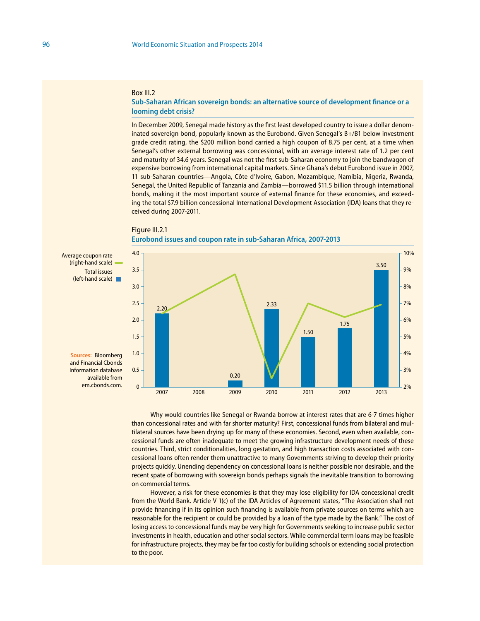#### Box III.2

#### **Sub-Saharan African sovereign bonds: an alternative source of development finance or a looming debt crisis?**

In December 2009, Senegal made history as the first least developed country to issue a dollar denominated sovereign bond, popularly known as the Eurobond. Given Senegal's B+/B1 below investment grade credit rating, the \$200 million bond carried a high coupon of 8.75 per cent, at a time when Senegal's other external borrowing was concessional, with an average interest rate of 1.2 per cent and maturity of 34.6 years. Senegal was not the first sub-Saharan economy to join the bandwagon of expensive borrowing from international capital markets. Since Ghana's debut Eurobond issue in 2007, 11 sub-Saharan countries—Angola, Côte d'Ivoire, Gabon, Mozambique, Namibia, Nigeria, Rwanda, Senegal, the United Republic of Tanzania and Zambia—borrowed \$11.5 billion through international bonds, making it the most important source of external finance for these economies, and exceeding the total \$7.9 billion concessional International Development Association (IDA) loans that they received during 2007-2011.

Figure III.2.1 **Eurobond issues and coupon rate in sub-Saharan Africa, 2007-2013**

Total issues (left-hand scale) Average coupon rate (right-hand scale)

> **Sources:** Bloomberg and Financial Cbonds Information database available from em.cbonds.com.

2.20 2007 2008 0.20 2009 2.33 2010 1.50 2011 1.75 2012 3.50 2013  $2%$ 3%  $40<sub>6</sub>$ 5% 6% 7% 8% 9% 10%  $\Omega$ 0.5 1.0 1.5 2.0 2.5 3.0 3.5 4.0

Why would countries like Senegal or Rwanda borrow at interest rates that are 6-7 times higher than concessional rates and with far shorter maturity? First, concessional funds from bilateral and multilateral sources have been drying up for many of these economies. Second, even when available, concessional funds are often inadequate to meet the growing infrastructure development needs of these countries. Third, strict conditionalities, long gestation, and high transaction costs associated with concessional loans often render them unattractive to many Governments striving to develop their priority projects quickly. Unending dependency on concessional loans is neither possible nor desirable, and the recent spate of borrowing with sovereign bonds perhaps signals the inevitable transition to borrowing on commercial terms.

However, a risk for these economies is that they may lose eligibility for IDA concessional credit from the World Bank. Article V 1(c) of the IDA Articles of Agreement states, "The Association shall not provide financing if in its opinion such financing is available from private sources on terms which are reasonable for the recipient or could be provided by a loan of the type made by the Bank." The cost of losing access to concessional funds may be very high for Governments seeking to increase public sector investments in health, education and other social sectors. While commercial term loans may be feasible for infrastructure projects, they may be far too costly for building schools or extending social protection to the poor.